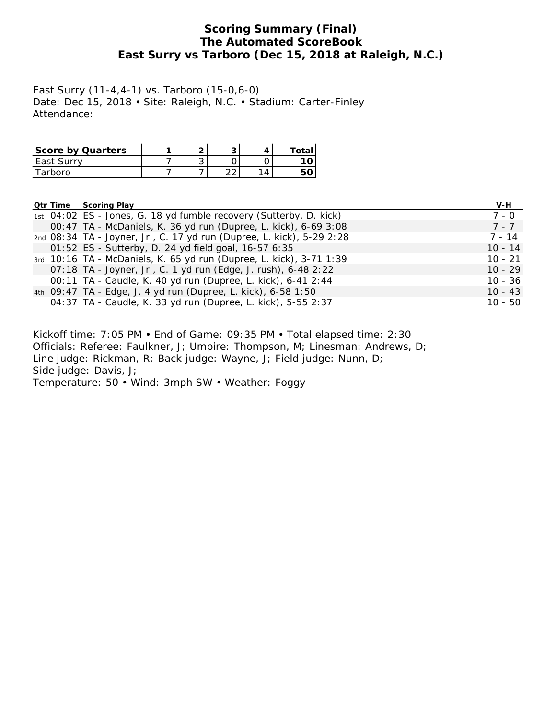## **Scoring Summary (Final) The Automated ScoreBook East Surry vs Tarboro (Dec 15, 2018 at Raleigh, N.C.)**

East Surry (11-4,4-1) vs. Tarboro (15-0,6-0) Date: Dec 15, 2018 • Site: Raleigh, N.C. • Stadium: Carter-Finley Attendance:

| <b>Score by Quarters</b> | 灬 |            | ™otaı |
|--------------------------|---|------------|-------|
| TFast Surry              | ັ |            |       |
| <b>rhoro</b>             |   | $\sqrt{2}$ |       |

|  | <b>Qtr Time Scoring Play</b>                                          | V-H       |
|--|-----------------------------------------------------------------------|-----------|
|  | 1st 04:02 ES - Jones, G. 18 yd fumble recovery (Sutterby, D. kick)    | 7 - 0     |
|  | 00:47 TA - McDaniels, K. 36 yd run (Dupree, L. kick), 6-69 3:08       | $7 - 7$   |
|  | 2nd 08:34 TA - Joyner, Jr., C. 17 yd run (Dupree, L. kick), 5-29 2:28 | $7 - 14$  |
|  | 01:52 ES - Sutterby, D. 24 yd field goal, 16-57 6:35                  | $10 - 14$ |
|  | 3rd 10:16 TA - McDaniels, K. 65 yd run (Dupree, L. kick), 3-71 1:39   | $10 - 21$ |
|  | 07:18 TA - Joyner, Jr., C. 1 yd run (Edge, J. rush), 6-48 2:22        | $10 - 29$ |
|  | 00:11 TA - Caudle, K. 40 yd run (Dupree, L. kick), 6-41 2:44          | 10 - 36   |
|  | 4th 09:47 TA - Edge, J. 4 yd run (Dupree, L. kick), 6-58 1:50         | $10 - 43$ |
|  | 04:37 TA - Caudle, K. 33 yd run (Dupree, L. kick), 5-55 2:37          | $10 - 50$ |

Kickoff time: 7:05 PM • End of Game: 09:35 PM • Total elapsed time: 2:30 Officials: Referee: Faulkner, J; Umpire: Thompson, M; Linesman: Andrews, D; Line judge: Rickman, R; Back judge: Wayne, J; Field judge: Nunn, D; Side judge: Davis, J; Temperature: 50 • Wind: 3mph SW • Weather: Foggy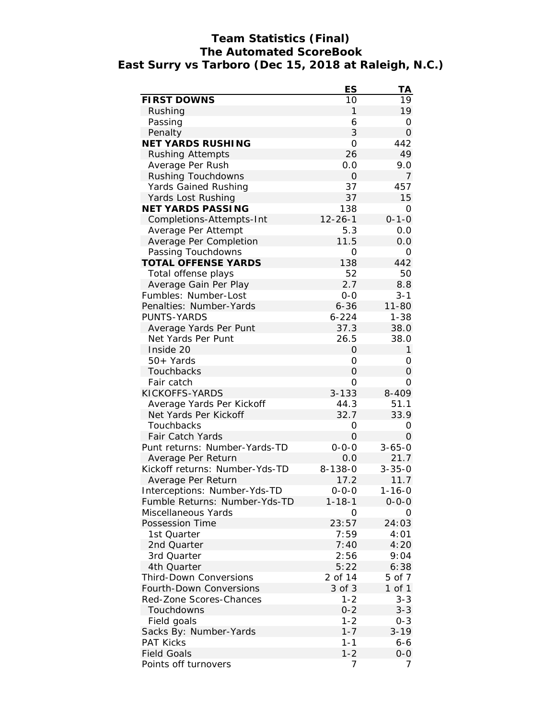# **Team Statistics (Final) The Automated ScoreBook East Surry vs Tarboro (Dec 15, 2018 at Raleigh, N.C.)**

|                                | ES             | ΤA           |
|--------------------------------|----------------|--------------|
| <b>FIRST DOWNS</b>             | 10             | 19           |
| Rushing                        | 1              | 19           |
| Passing                        | 6              | 0            |
| Penalty                        | 3              | 0            |
| <b>NET YARDS RUSHING</b>       | $\overline{O}$ | 442          |
| <b>Rushing Attempts</b>        | 26             | 49           |
| Average Per Rush               | 0.0            | 9.0          |
| Rushing Touchdowns             | 0              | 7            |
| Yards Gained Rushing           | 37             | 457          |
| Yards Lost Rushing             | 37             | 15           |
| <b>NET YARDS PASSING</b>       | 138            | O            |
| Completions-Attempts-Int       | $12 - 26 - 1$  | $0 - 1 - 0$  |
| Average Per Attempt            | 5.3            | 0.0          |
| Average Per Completion         | 11.5           | 0.0          |
| Passing Touchdowns             | 0              | 0            |
| <b>TOTAL OFFENSE YARDS</b>     | 138            | 442          |
| Total offense plays            | 52             | 50           |
| Average Gain Per Play          | 2.7            | 8.8          |
| Fumbles: Number-Lost           | $0 - 0$        | $3 - 1$      |
| Penalties: Number-Yards        | $6 - 36$       | $11 - 80$    |
| <b>PUNTS-YARDS</b>             | $6 - 224$      | $1 - 38$     |
| Average Yards Per Punt         | 37.3           | 38.0         |
| Net Yards Per Punt             | 26.5           | 38.0         |
| Inside 20                      | 0              | $\mathbf{1}$ |
| 50+ Yards                      | 0              | 0            |
| Touchbacks                     | $\overline{O}$ | 0            |
| Fair catch                     | O              | 0            |
| KICKOFFS-YARDS                 | $3 - 133$      | 8-409        |
| Average Yards Per Kickoff      | 44.3           | 51.1         |
| Net Yards Per Kickoff          | 32.7           | 33.9         |
| Touchbacks                     | 0              | 0            |
| <b>Fair Catch Yards</b>        | 0              | 0            |
| Punt returns: Number-Yards-TD  | $0 - 0 - 0$    | $3 - 65 - 0$ |
| Average Per Return             | 0.0            | 21.7         |
| Kickoff returns: Number-Yds-TD | $8 - 138 - 0$  | $3 - 35 - 0$ |
| Average Per Return             | 17.2           | 11.7         |
| Interceptions: Number-Yds-TD   | 0-0-0          | 1-16-0       |
| Fumble Returns: Number-Yds-TD  | $1 - 18 - 1$   | $0 - 0 - 0$  |
| Miscellaneous Yards            | Ο              | Ο            |
| Possession Time                | 23:57          | 24:03        |
| 1st Quarter                    | 7:59           | 4:01         |
|                                |                |              |
| 2nd Quarter                    | 7:40<br>2:56   | 4:20         |
| 3rd Quarter                    |                | 9:04         |
| 4th Quarter                    | 5:22           | 6:38         |
| <b>Third-Down Conversions</b>  | 2 of 14        | 5 of 7       |
| <b>Fourth-Down Conversions</b> | 3 of 3         | 1 of 1       |
| Red-Zone Scores-Chances        | $1 - 2$        | $3 - 3$      |
| Touchdowns                     | $0 - 2$        | $3 - 3$      |
| Field goals                    | $1 - 2$        | $0 - 3$      |
| Sacks By: Number-Yards         | $1 - 7$        | $3 - 19$     |
| <b>PAT Kicks</b>               | $1 - 1$        | 6-6          |
| <b>Field Goals</b>             | $1 - 2$        | $O-O$        |
| Points off turnovers           | 7              | 7            |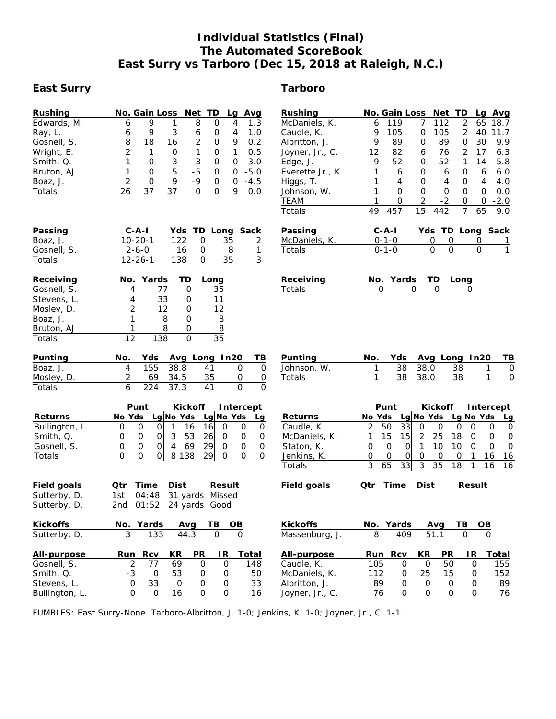## **Individual Statistics (Final) The Automated ScoreBook East Surry vs Tarboro (Dec 15, 2018 at Raleigh, N.C.)**

#### **East Surry Tarboro**

| Rushing     |   | No. Gain Loss Net TD |    |               |   | La | Avg    |
|-------------|---|----------------------|----|---------------|---|----|--------|
| Edwards, M. | 6 | 9                    |    | 8             | Ο | 4  | 1.3    |
| Ray, L.     | 6 | 9                    | 3  | 6             | 0 | 4  | 1.0    |
| Gosnell, S. | 8 | 18                   | 16 | $\mathcal{P}$ | 0 | 9  | 0.2    |
| Wright, E.  |   | 1                    | Ω  |               | 0 |    | 0.5    |
| Smith, Q.   |   | Ω                    | 3  | -3            | O | O  | $-3.0$ |
| Bruton, AJ  |   | Ω                    | 5  | -5            | Ω | O  | $-5.0$ |
| Boaz, J.    | 2 | Ω                    | 9  | -9            | Ο | 0  | $-4.5$ |
| Totals      |   |                      | 37 | ი             | O | Q  |        |

| Passing       | $C - A - I$   |     | Yds TD Long Sack |  |
|---------------|---------------|-----|------------------|--|
| Boaz, J.      | $10 - 20 - 1$ | 122 | -35-             |  |
| Gosnell, S.   | 2-6-0         | 16  |                  |  |
| <b>Totals</b> | $12 - 26 - 1$ | 138 | 35.              |  |

| Receiving   |    | No. Yards | <b>TD</b> | Long |
|-------------|----|-----------|-----------|------|
| Gosnell, S. |    | 77        |           | 35   |
| Stevens, L. |    | 33        |           | 11   |
| Mosley, D.  | 2  | 12        |           | 12   |
| Boaz, J.    |    | 8         |           | 8    |
| Bruton, AJ  |    |           |           | 8    |
| Totals      | 12 | 138       |           | २५   |

| Punting    | No. |          |      | Yds Avg Long In20 TB |                  |
|------------|-----|----------|------|----------------------|------------------|
| Boaz, J.   |     | 155 38.8 |      | 41                   | $\left( \right)$ |
| Mosley, D. |     | 69 34.5  | - 35 |                      |                  |
| Totals     |     | 224 37.3 | 41   |                      |                  |

|                | Punt |        |  |   |                     |           | Kickoff Intercept |  |  |
|----------------|------|--------|--|---|---------------------|-----------|-------------------|--|--|
| <b>Returns</b> |      | No Yds |  |   | Lg No Yds Lg No Yds |           |                   |  |  |
| Bullington, L. |      |        |  |   | 16                  | 16I       |                   |  |  |
| Smith, Q.      |      |        |  | 3 | 53                  | <b>26</b> |                   |  |  |
| Gosnell, S.    |      |        |  |   | 69                  | 29        |                   |  |  |
| Totals         |      |        |  |   | 8 1 3 8             | 29        |                   |  |  |

| Otr | Time | Dist                                  |    |             |                                                                                      |
|-----|------|---------------------------------------|----|-------------|--------------------------------------------------------------------------------------|
| 1st |      |                                       |    |             |                                                                                      |
|     |      |                                       |    |             |                                                                                      |
|     |      |                                       |    | ΤВ          | OВ                                                                                   |
| 3   | 133  |                                       |    | O           | Ω                                                                                    |
|     | Rcv  | KR                                    | РR |             | Total                                                                                |
|     | 77   | 69                                    | 0  |             | 148                                                                                  |
|     | O    | 53                                    | 0  |             | 50                                                                                   |
|     | 33   | O                                     | 0  |             | 33                                                                                   |
|     | O    | 16                                    | ი  |             | 16                                                                                   |
|     |      | No. Yards<br>Run<br>2<br>-3<br>0<br>Ω |    | Avq<br>44.3 | Result<br>04:48 31 yards Missed<br>2nd 01:52 24 yards Good<br>ΙR<br>0<br>Ω<br>0<br>Ω |

| .           |  |         |      | $140.$ $143.$ Avg Long $1120$ $15$ |  |
|-------------|--|---------|------|------------------------------------|--|
| Johnson, W. |  | 38 38.0 | - 38 |                                    |  |
| Totals      |  | 38 38.0 | -38  |                                    |  |

|                | Punt |                            |     |               |     | Kickoff Intercept |    |  |
|----------------|------|----------------------------|-----|---------------|-----|-------------------|----|--|
| <b>Returns</b> |      | No Yds Lg No Yds Lg No Yds |     |               |     |                   |    |  |
| Caudle, K.     |      | 50                         | 331 | 0             |     |                   |    |  |
| McDaniels, K.  |      | 15                         | 15I | 2 25          | 18l |                   |    |  |
| Staton, K.     |      |                            |     | 10            |     |                   |    |  |
| Jenkins, K.    |      | $\left( \right)$           |     | $\Omega$      |     |                   |    |  |
| Totals         | 3    |                            |     | 65 33 3 35 18 |     | $\mathbf{1}$      | 16 |  |

**Field goals Qtr Time Dist Result**

|   |                   |                                            |  | тв                | OВ                              |
|---|-------------------|--------------------------------------------|--|-------------------|---------------------------------|
| 8 | 409               | 51 1                                       |  |                   |                                 |
|   | <b>RCV</b>        | <b>KR</b>                                  |  | IR                | Total                           |
|   | O                 | O                                          |  |                   | 155                             |
|   | $\mathbf{\Omega}$ | 25                                         |  | $\mathbf{\Omega}$ | 152                             |
|   | Ω                 | Ω                                          |  | O)                | 89                              |
|   | 0                 | Ω                                          |  |                   | 76                              |
|   |                   | No. Yards<br>Run<br>105<br>112<br>89<br>76 |  | Ava               | <b>PR</b><br>50<br>15<br>Ω<br>0 |

FUMBLES: East Surry-None. Tarboro-Albritton, J. 1-0; Jenkins, K. 1-0; Joyner, Jr., C. 1-1.

| TEAM          | 1   | Ο           | 2      | $-2$              | 0<br>Ω               | $-2.0$         |
|---------------|-----|-------------|--------|-------------------|----------------------|----------------|
| Totals        | 49  | 457         | 15     | 442               | 7 <sup>7</sup><br>65 | 9.0            |
|               |     |             |        |                   |                      |                |
| Passing       |     | C-A-I       |        | Yds TD Long Sack  |                      |                |
| McDaniels, K. |     | $0 - 1 - 0$ | 0      | 0                 | 0                    | $\overline{1}$ |
| Totals        |     | $0 - 1 - 0$ | O      | 0                 | O                    | $\overline{1}$ |
|               |     |             |        |                   |                      |                |
|               |     |             |        |                   |                      |                |
| Receiving     |     | No. Yards   | TD     | Long              |                      |                |
| Totals        | O   |             | O<br>O |                   | Ω                    |                |
|               |     |             |        |                   |                      |                |
|               |     |             |        |                   |                      |                |
|               |     |             |        |                   |                      |                |
|               |     |             |        |                   |                      |                |
|               |     |             |        |                   |                      |                |
| Punting       | No. | Yds         |        | Avg Long In20     |                      | тв             |
| Johnson, W.   | 1   | 38          | 38.0   | 38                | 1                    | 0              |
| Totals        | 1   | 38          | 38.0   | 38                | 1                    | 0              |
|               |     |             |        |                   |                      |                |
|               |     |             |        |                   |                      |                |
|               |     | Punt        |        | Kickoff Intercept |                      |                |

**Rushing No. Gain Loss Net TD Lg Avg** McDaniels, K. 6 119 7 112 2 65 18.7 Caudle, K. 9 105 0 105 2 40 11.7 Albritton, J. 9 89 0 89 0 30 9.9 Joyner, Jr., C. 12 82 6 76 2 17 6.3 Edge, J. (2008) 9 52 0 52 1 14 5.8<br>Everette Jr., K 1 6 0 6 0 6 6.0 Everette Jr., K 1 6 0 6 0 6 6.0 Higgs, T. 1 4 0 4 0 4 4.0 Johnson, W. 1 0 0 0 0 0 0.0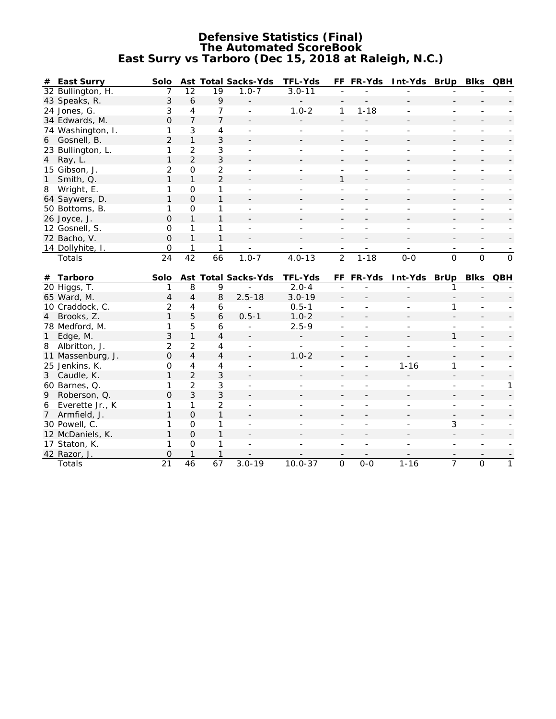#### **Defensive Statistics (Final) The Automated ScoreBook East Surry vs Tarboro (Dec 15, 2018 at Raleigh, N.C.)**

| # East Surry              | Solo           |                  |                 | <b>Ast Total Sacks-Yds</b> | <b>TFL-Yds</b> |                | FF FR-Yds | Int-Yds BrUp Blks QBH |                |                |                |
|---------------------------|----------------|------------------|-----------------|----------------------------|----------------|----------------|-----------|-----------------------|----------------|----------------|----------------|
| 32 Bullington, H.         | 7              | 12               | 19              | $1.0 - 7$                  | $3.0 - 11$     |                |           |                       |                |                |                |
| 43 Speaks, R.             | 3              | $\boldsymbol{6}$ | 9               |                            |                |                |           |                       |                |                |                |
| 24 Jones, G.              | 3              | 4                | 7               |                            | $1.0 - 2$      | $\mathbf{1}$   | $1 - 18$  |                       |                |                |                |
| 34 Edwards, M.            | $\overline{O}$ | $\overline{7}$   | $\overline{7}$  |                            |                |                |           |                       |                |                |                |
| 74 Washington, I.         | 1              | 3                | 4               |                            |                |                |           |                       |                |                |                |
| Gosnell, B.<br>6          | $\overline{2}$ | $\mathbf{1}$     | 3               |                            |                |                |           |                       |                |                |                |
| 23 Bullington, L.         | 1              | 2                | 3               |                            |                |                |           |                       |                |                |                |
| 4 Ray, L.                 | 1              | $\overline{2}$   | 3               |                            |                |                |           |                       |                |                |                |
| 15 Gibson, J.             | $\overline{c}$ | $\mathbf 0$      | $\overline{2}$  |                            |                |                |           |                       |                |                |                |
| Smith, Q.<br>$\mathbf{1}$ | 1              | $\mathbf{1}$     | $\overline{2}$  |                            |                | 1              |           |                       |                |                |                |
| 8 Wright, E.              | 1              | $\Omega$         | 1               |                            |                |                |           |                       |                |                |                |
| 64 Saywers, D.            | 1              | $\Omega$         | 1               |                            |                |                |           |                       |                |                |                |
| 50 Bottoms, B.            | 1              | $\mathbf 0$      | 1               |                            |                |                |           |                       |                | $\equiv$       |                |
| 26 Joyce, J.              | $\Omega$       | $\mathbf{1}$     | 1               |                            |                |                |           |                       |                |                |                |
| 12 Gosnell, S.            | $\Omega$       | 1                | 1               | $\sim$                     |                |                |           |                       | $\overline{a}$ |                |                |
| 72 Bacho, V.              | $\Omega$       | $\mathbf{1}$     | 1               |                            |                |                |           |                       |                |                |                |
| 14 Dollyhite, I.          | $\mathbf 0$    | 1                | 1               |                            |                |                |           |                       |                |                |                |
| Totals                    | 24             | $\overline{42}$  | $\overline{66}$ | $1.0 - 7$                  | $4.0 - 13$     | $\overline{2}$ | $1 - 18$  | $0-0$                 | $\overline{0}$ | $\overline{0}$ | $\overline{0}$ |
|                           |                |                  |                 |                            |                |                |           |                       |                |                |                |
|                           |                |                  |                 |                            |                |                |           |                       |                |                |                |
| Tarboro<br>#              | Solo           |                  |                 | <b>Ast Total Sacks-Yds</b> | <b>TFL-Yds</b> |                | FF FR-Yds | Int-Yds BrUp          |                | <b>Blks</b>    | QBH            |
| 20 Higgs, T.              | 1              | 8                | 9               |                            | $2.0 - 4$      |                |           |                       | 1              |                |                |
| 65 Ward, M.               | 4              | $\overline{4}$   | 8               | $2.5 - 18$                 | $3.0 - 19$     |                |           |                       |                |                |                |
| 10 Craddock, C.           | $\overline{c}$ | 4                | 6               | $\overline{a}$             | $0.5 - 1$      |                |           |                       | 1              |                |                |
| 4 Brooks, Z.              | $\mathbf{1}$   | 5                | 6               | $0.5 - 1$                  | $1.0 - 2$      |                |           |                       |                |                |                |
| 78 Medford, M.            | 1              | 5                | 6               | $\blacksquare$             | $2.5 - 9$      |                |           |                       |                |                |                |
| Edge, M.<br>$\mathbf{1}$  | 3              | $\mathbf{1}$     | 4               |                            |                |                |           |                       | 1              |                |                |
| 8<br>Albritton, J.        | 2              | $\overline{2}$   | 4               | $\blacksquare$             | ÷.             |                |           | ٠                     | $\overline{a}$ |                |                |
| 11 Massenburg, J.         | O              | $\overline{4}$   | 4               |                            | $1.0 - 2$      |                |           |                       |                |                |                |
| 25 Jenkins, K.            | 0              | $\overline{4}$   | 4               | $\sim$                     |                | $\overline{a}$ |           | $1 - 16$              | 1              | $\overline{a}$ |                |
| 3 Caudle, K.              | 1              | $\overline{2}$   | 3               |                            |                |                |           |                       |                |                |                |
| 60 Barnes, Q.             | 1              | $\overline{2}$   | 3               | $\sim$                     | ÷              | $\sim$         |           |                       | $\overline{a}$ | $\overline{a}$ | 1              |
| 9 Roberson, Q.            | $\Omega$       | 3                | 3               |                            |                |                |           |                       |                |                |                |
| Everette Jr., K<br>6      | 1              | 1                | $\overline{2}$  |                            |                |                |           |                       |                |                |                |
| 7 Armfield, J.            | 1              | $\mathbf 0$      | 1               |                            |                |                |           |                       |                |                |                |
| 30 Powell, C.             | 1              | $\mathbf 0$      | 1               |                            |                |                |           |                       | 3              |                |                |
| 12 McDaniels, K.          | $\mathbf{1}$   | $\Omega$         | 1               |                            |                |                |           |                       |                |                |                |
| 17 Staton, K.             | 1              | $\mathsf{O}$     | 1               |                            |                |                |           |                       |                |                |                |
| 42 Razor, J.<br>Totals    | 0<br>21        | $\overline{46}$  | 1<br>67         | $3.0 - 19$                 | $10.0 - 37$    | $\overline{0}$ | $0 - 0$   | $1 - 16$              | $\overline{7}$ | 0              | $\mathbf{1}$   |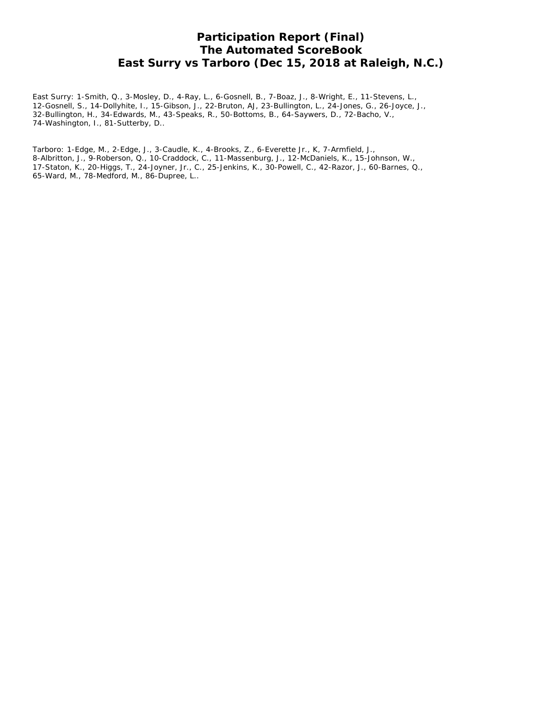## **Participation Report (Final) The Automated ScoreBook East Surry vs Tarboro (Dec 15, 2018 at Raleigh, N.C.)**

East Surry: 1-Smith, Q., 3-Mosley, D., 4-Ray, L., 6-Gosnell, B., 7-Boaz, J., 8-Wright, E., 11-Stevens, L., 12-Gosnell, S., 14-Dollyhite, I., 15-Gibson, J., 22-Bruton, AJ, 23-Bullington, L., 24-Jones, G., 26-Joyce, J., 32-Bullington, H., 34-Edwards, M., 43-Speaks, R., 50-Bottoms, B., 64-Saywers, D., 72-Bacho, V., 74-Washington, I., 81-Sutterby, D..

Tarboro: 1-Edge, M., 2-Edge, J., 3-Caudle, K., 4-Brooks, Z., 6-Everette Jr., K, 7-Armfield, J., 8-Albritton, J., 9-Roberson, Q., 10-Craddock, C., 11-Massenburg, J., 12-McDaniels, K., 15-Johnson, W., 17-Staton, K., 20-Higgs, T., 24-Joyner, Jr., C., 25-Jenkins, K., 30-Powell, C., 42-Razor, J., 60-Barnes, Q., 65-Ward, M., 78-Medford, M., 86-Dupree, L..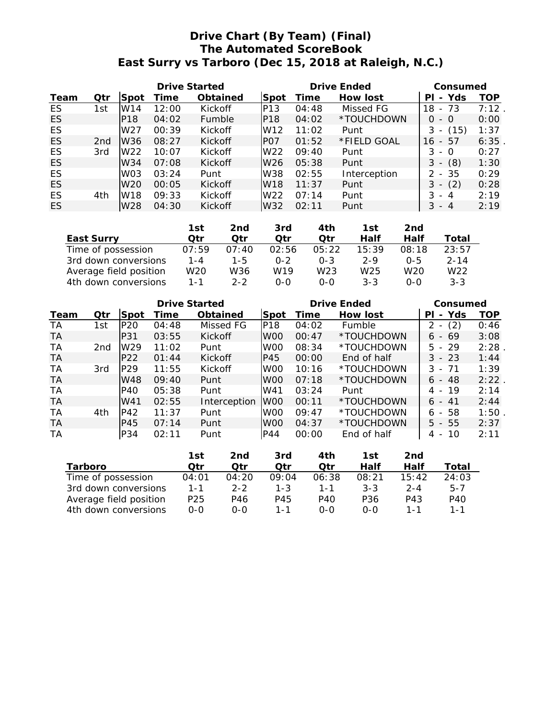# **Drive Chart (By Team) (Final) The Automated ScoreBook East Surry vs Tarboro (Dec 15, 2018 at Raleigh, N.C.)**

|      |                 | <b>Drive Started</b> |       |                 |                  |       | <b>Drive Ended</b> | Consumed                              |      |
|------|-----------------|----------------------|-------|-----------------|------------------|-------|--------------------|---------------------------------------|------|
| Team | Qtr             | Spot                 | Time  | <b>Obtained</b> | Spot             | Time  | <b>How lost</b>    | - Yds<br>PI                           | TOP  |
| ES   | 1st             | W14                  | 12:00 | Kickoff         | P <sub>13</sub>  | 04:48 | Missed FG          | - 73<br>18                            | 7:12 |
| ES   |                 | P <sub>18</sub>      | 04:02 | Fumble          | P <sub>18</sub>  | 04:02 | *TOUCHDOWN         | 0<br>- 0                              | 0:00 |
| ES   |                 | W27                  | 00:39 | Kickoff         | W <sub>12</sub>  | 11:02 | Punt               | (15)<br>3<br>$\overline{\phantom{a}}$ | 1:37 |
| ES   | 2 <sub>nd</sub> | W36                  | 08:27 | <b>Kickoff</b>  | P <sub>O</sub> 7 | 01:52 | *FIELD GOAL        | 57<br>16<br>$\overline{\phantom{0}}$  | 6:35 |
| ES   | 3rd             | W <sub>22</sub>      | 10:07 | Kickoff         | W <sub>22</sub>  | 09:40 | Punt               | 3<br>- 0                              | 0:27 |
| ES   |                 | W34                  | 07:08 | Kickoff         | W <sub>26</sub>  | 05:38 | Punt               | (8)<br>3<br>$\overline{\phantom{a}}$  | 1:30 |
| ES   |                 | W <sub>03</sub>      | 03:24 | Punt            | W38              | 02:55 | Interception       | - 35<br>$\mathcal{P}$                 | 0:29 |
| ES   |                 | W <sub>20</sub>      | 00:05 | <b>Kickoff</b>  | W <sub>18</sub>  | 11:37 | Punt               | (2)<br>3<br>$\overline{\phantom{a}}$  | 0:28 |
| ES   | 4th             | W18                  | 09:33 | Kickoff         | W22              | 07:14 | Punt               | 3<br>- 4                              | 2:19 |
| ES   |                 | W <sub>28</sub>      | 04:30 | Kickoff         | W32              | 02:11 | Punt               | 3<br>$-4$                             | 2:19 |

|                        | 1st     | 2nd     | 3rd   | 4th     | 1st     | 2nd     |                 |
|------------------------|---------|---------|-------|---------|---------|---------|-----------------|
| <b>East Surry</b>      | Otr     | Otr     | Otr   | Otr     | Half    | Half    | Total           |
| Time of possession     | 07:59   | 07:40   | 02:56 | 05:22   | 15:39   | 08:18   | 23:57           |
| 3rd down conversions   | $1 - 4$ | 1-5     | 0-2   | $0 - 3$ | $2 - 9$ | $0 - 5$ | $2 - 14$        |
| Average field position | W20     | W36     | W19   | W23     | W25     | W20     | W <sub>22</sub> |
| 4th down conversions   | $1 - 1$ | $2 - 2$ | റ-റ   | ი-ი     | $3 - 3$ | $0 - 0$ | $3 - 3$         |

|           |     |                 | <b>Drive Started</b> |                 |                 | <b>Drive Ended</b> | Consumed    |                                 |      |
|-----------|-----|-----------------|----------------------|-----------------|-----------------|--------------------|-------------|---------------------------------|------|
| Team      | Qtr | lSpot           | Time                 | <b>Obtained</b> | lSpot           | Time               | How lost    | Yds<br>ΡI<br>$\blacksquare$     | TOP  |
| TA.       | 1st | IP20            | 04:48                | Missed FG       | IP18            | 04:02              | Fumble      | (2)<br>$\overline{\phantom{a}}$ | 0:46 |
| TA        |     | P31             | 03:55                | Kickoff         | W <sub>00</sub> | 00:47              | *TOUCHDOWN  | $6 - 69$                        | 3:08 |
| <b>TA</b> | 2nd | W <sub>29</sub> | 11:02                | Punt            | W <sub>00</sub> | 08:34              | *TOUCHDOWN  | $5 - 29$                        | 2:28 |
| TA.       |     | P22             | 01:44                | Kickoff         | P45             | 00:00              | End of half | $3 - 23$                        | 1:44 |
| <b>TA</b> | 3rd | P29             | 11:55                | Kickoff         | W <sub>00</sub> | 10:16              | *TOUCHDOWN  | $3 - 71$                        | 1:39 |
| TA        |     | W48             | 09:40                | Punt            | W <sub>00</sub> | 07:18              | *TOUCHDOWN  | 6 - 48                          | 2:22 |
| TA        |     | <b>P40</b>      | 05:38                | Punt            | W41             | 03:24              | Punt        | 4 - 19                          | 2:14 |
| TA        |     | W41             | 02:55                | Interception    | IW00            | 00:11              | *TOUCHDOWN  | $6 - 41$                        | 2:44 |
| <b>TA</b> | 4th | P42             | 11:37                | Punt            | W <sub>00</sub> | 09:47              | *TOUCHDOWN  | $6 - 58$                        | 1:50 |
| TA.       |     | P45             | 07:14                | Punt            | lW00            | 04:37              | *TOUCHDOWN  | $5 - 55$                        | 2:37 |
| ТA        |     | P34             | 02:11                | Punt            | P44             | 00:00              | End of half | -10<br>4 -                      | 2:11 |

|                        | 1st             | 2nd     | 3rd     | 4th   | 1st     | 2nd     |         |
|------------------------|-----------------|---------|---------|-------|---------|---------|---------|
| <b>Tarboro</b>         | Otr             | Otr     | Otr     | Otr   | Half    | Half    | Total   |
| Time of possession     | 04:01           | 04:20   | 09:04   | 06:38 | 08:21   | 15:42   | 24:03   |
| 3rd down conversions   | $1 - 1$         | $2 - 2$ | $1 - 3$ | 1 - 1 | $3 - 3$ | $2 - 4$ | $5 - 7$ |
| Average field position | P <sub>25</sub> | P46     | P45     | P40   | P36     | P43     | P40     |
| 4th down conversions   | $0 - 0$         | റ-റ     | 1-1     | ი-ი   | ი-ი     | 1 - 1   | $1 - 1$ |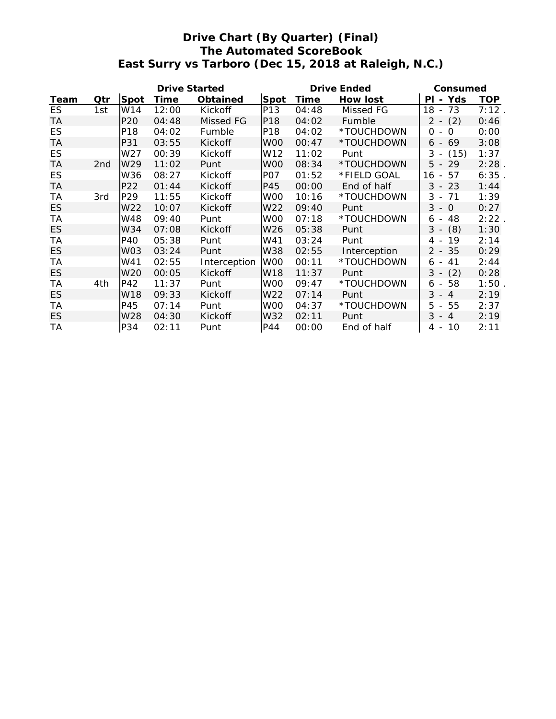# **Drive Chart (By Quarter) (Final) The Automated ScoreBook East Surry vs Tarboro (Dec 15, 2018 at Raleigh, N.C.)**

|           | <b>Drive Started</b> |                 |             |                |                 | <b>Drive Ended</b> | Consumed     |                                |            |
|-----------|----------------------|-----------------|-------------|----------------|-----------------|--------------------|--------------|--------------------------------|------------|
| Team      | Qtr                  | <b>Spot</b>     | <b>Time</b> | Obtained       | <b>Spot</b>     | <b>Time</b>        | How lost     | - Yds<br><b>PI</b>             | <b>TOP</b> |
| ES        | 1st                  | W14             | 12:00       | Kickoff        | P13             | 04:48              | Missed FG    | 18 - 73                        | 7:12.      |
| <b>TA</b> |                      | P <sub>20</sub> | 04:48       | Missed FG      | P18             | 04:02              | Fumble       | $2 - (2)$                      | 0:46       |
| ES        |                      | P18             | 04:02       | Fumble         | P18             | 04:02              | *TOUCHDOWN   | $\Omega$<br>$\Omega$<br>$\sim$ | 0:00       |
| <b>TA</b> |                      | P31             | 03:55       | Kickoff        | W <sub>00</sub> | 00:47              | *TOUCHDOWN   | 69<br>6 -                      | 3:08       |
| ES        |                      | W27             | 00:39       | Kickoff        | W12             | 11:02              | Punt         | $3 - (15)$                     | 1:37       |
| <b>TA</b> | 2 <sub>nd</sub>      | W <sub>29</sub> | 11:02       | Punt           | W <sub>00</sub> | 08:34              | *TOUCHDOWN   | $5 - 29$                       | 2:28       |
| ES        |                      | W36             | 08:27       | Kickoff        | PO <sub>7</sub> | 01:52              | *FIELD GOAL  | 57<br>16 -                     | 6:35       |
| <b>TA</b> |                      | P <sub>22</sub> | 01:44       | Kickoff        | P45             | 00:00              | End of half  | $3 - 23$                       | 1:44       |
| <b>TA</b> | 3rd                  | P <sub>29</sub> | 11:55       | Kickoff        | W <sub>00</sub> | 10:16              | *TOUCHDOWN   | $3 - 71$                       | 1:39       |
| ES        |                      | W22             | 10:07       | Kickoff        | W <sub>22</sub> | 09:40              | Punt         | $3 - 0$                        | 0:27       |
| TA        |                      | W48             | 09:40       | Punt           | W <sub>00</sub> | 07:18              | *TOUCHDOWN   | 48<br>6 -                      | 2:22       |
| ES        |                      | W34             | 07:08       | Kickoff        | W26             | 05:38              | Punt         | (8)<br>$3 -$                   | 1:30       |
| <b>TA</b> |                      | P40             | 05:38       | Punt           | W41             | 03:24              | Punt         | $4 - 19$                       | 2:14       |
| ES        |                      | WO3             | 03:24       | Punt           | W38             | 02:55              | Interception | $2 - 35$                       | 0:29       |
| TA        |                      | W41             | 02:55       | Interception   | lW00            | 00:11              | *TOUCHDOWN   | 41<br>6 -                      | 2:44       |
| ES        |                      | W20             | 00:05       | <b>Kickoff</b> | W18             | 11:37              | Punt         | $3 -$<br>(2)                   | 0:28       |
| TA        | 4th                  | P42             | 11:37       | Punt           | W <sub>00</sub> | 09:47              | *TOUCHDOWN   | 58<br>6 -                      | 1:50       |
| ES        |                      | W18             | 09:33       | Kickoff        | W22             | 07:14              | Punt         | $3 - 4$                        | 2:19       |
| TA        |                      | P45             | 07:14       | Punt           | W <sub>00</sub> | 04:37              | *TOUCHDOWN   | 5<br>55<br>$\sim$              | 2:37       |
| ES        |                      | W28             | 04:30       | Kickoff        | W32             | 02:11              | Punt         | $3 - 4$                        | 2:19       |
| TA        |                      | P34             | 02:11       | Punt           | P44             | 00:00              | End of half  | 10<br>4 -                      | 2:11       |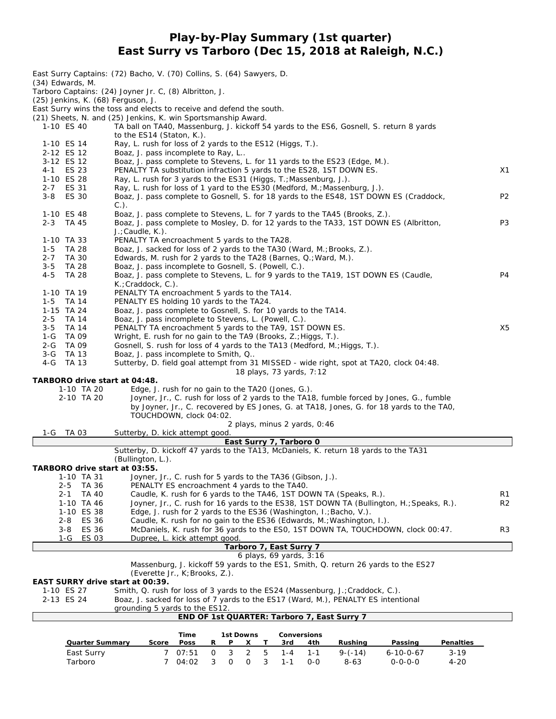#### **Play-by-Play Summary (1st quarter) East Surry vs Tarboro (Dec 15, 2018 at Raleigh, N.C.)**

|                                       | East Surry Captains: (72) Bacho, V. (70) Collins, S. (64) Sawyers, D.                                                                                      |                |
|---------------------------------------|------------------------------------------------------------------------------------------------------------------------------------------------------------|----------------|
| $(34)$ Edwards, M.                    | Tarboro Captains: (24) Joyner Jr. C, (8) Albritton, J.                                                                                                     |                |
| (25) Jenkins, K. (68) Ferguson, J.    |                                                                                                                                                            |                |
|                                       | East Surry wins the toss and elects to receive and defend the south.                                                                                       |                |
| 1-10 ES 40                            | (21) Sheets, N. and (25) Jenkins, K. win Sportsmanship Award.                                                                                              |                |
|                                       | TA ball on TA40, Massenburg, J. kickoff 54 yards to the ES6, Gosnell, S. return 8 yards<br>to the ES14 (Staton, K.).                                       |                |
| 1-10 ES 14                            | Ray, L. rush for loss of 2 yards to the ES12 (Higgs, T.).                                                                                                  |                |
| 2-12 ES 12                            | Boaz, J. pass incomplete to Ray, L                                                                                                                         |                |
| 3-12 ES 12                            | Boaz, J. pass complete to Stevens, L. for 11 yards to the ES23 (Edge, M.).                                                                                 |                |
| 4-1 ES 23<br>1-10 ES 28               | PENALTY TA substitution infraction 5 yards to the ES28, 1ST DOWN ES.<br>Ray, L. rush for 3 yards to the ES31 (Higgs, T.; Massenburg, J.).                  | X1             |
| 2-7 ES 31                             | Ray, L. rush for loss of 1 yard to the ES30 (Medford, M.; Massenburg, J.).                                                                                 |                |
| $3 - 8$<br><b>ES 30</b>               | Boaz, J. pass complete to Gosnell, S. for 18 yards to the ES48, 1ST DOWN ES (Craddock,                                                                     | P <sub>2</sub> |
|                                       | $C.$ ).                                                                                                                                                    |                |
| 1-10 ES 48<br>2-3 TA 45               | Boaz, J. pass complete to Stevens, L. for 7 yards to the TA45 (Brooks, Z.).                                                                                | P <sub>3</sub> |
|                                       | Boaz, J. pass complete to Mosley, D. for 12 yards to the TA33, 1ST DOWN ES (Albritton,<br>$J$ .; Caudle, K.).                                              |                |
| 1-10 TA 33                            | PENALTY TA encroachment 5 yards to the TA28.                                                                                                               |                |
| TA 28<br>1-5                          | Boaz, J. sacked for loss of 2 yards to the TA30 (Ward, M.; Brooks, Z.).                                                                                    |                |
| TA 30<br>$2 - 7$                      | Edwards, M. rush for 2 yards to the TA28 (Barnes, Q.; Ward, M.).                                                                                           |                |
| $3 - 5$<br>TA 28                      | Boaz, J. pass incomplete to Gosnell, S. (Powell, C.).                                                                                                      | P <sub>4</sub> |
| $4 - 5$<br><b>TA 28</b>               | Boaz, J. pass complete to Stevens, L. for 9 yards to the TA19, 1ST DOWN ES (Caudle,<br>$K$ .; Craddock, C.).                                               |                |
| 1-10 TA 19                            | PENALTY TA encroachment 5 yards to the TA14.                                                                                                               |                |
| $1-5$ TA 14                           | PENALTY ES holding 10 yards to the TA24.                                                                                                                   |                |
| 1-15 TA 24                            | Boaz, J. pass complete to Gosnell, S. for 10 yards to the TA14.                                                                                            |                |
| 2-5 TA 14<br><b>TA 14</b>             | Boaz, J. pass incomplete to Stevens, L. (Powell, C.).<br>PENALTY TA encroachment 5 yards to the TA9, 1ST DOWN ES.                                          | X <sub>5</sub> |
| $3 - 5$<br>1-G TA 09                  | Wright, E. rush for no gain to the TA9 (Brooks, Z.; Higgs, T.).                                                                                            |                |
| 2-G TA 09                             | Gosnell, S. rush for loss of 4 yards to the TA13 (Medford, M.; Higgs, T.).                                                                                 |                |
| 3-G TA 13                             | Boaz, J. pass incomplete to Smith, Q                                                                                                                       |                |
| 4-G TA 13                             | Sutterby, D. field goal attempt from 31 MISSED - wide right, spot at TA20, clock 04:48.                                                                    |                |
| TARBORO drive start at 04:48.         | 18 plays, 73 yards, 7:12                                                                                                                                   |                |
| 1-10 TA 20                            | Edge, J. rush for no gain to the TA20 (Jones, G.).                                                                                                         |                |
| 2-10 TA 20                            | Joyner, Jr., C. rush for loss of 2 yards to the TA18, fumble forced by Jones, G., fumble                                                                   |                |
|                                       | by Joyner, Jr., C. recovered by ES Jones, G. at TA18, Jones, G. for 18 yards to the TA0,                                                                   |                |
|                                       | TOUCHDOWN, clock 04:02.                                                                                                                                    |                |
| 1-G TA 03                             | 2 plays, minus 2 yards, 0:46<br>Sutterby, D. kick attempt good.                                                                                            |                |
|                                       | East Surry 7, Tarboro 0                                                                                                                                    |                |
|                                       | Sutterby, D. kickoff 47 yards to the TA13, McDaniels, K. return 18 yards to the TA31                                                                       |                |
|                                       | (Bullington, L.).                                                                                                                                          |                |
| TARBORO drive start at 03:55.         |                                                                                                                                                            |                |
| 1-10 TA 31<br><b>TA 36</b><br>$2 - 5$ | Joyner, Jr., C. rush for 5 yards to the TA36 (Gibson, J.).<br>PENALTY ES encroachment 4 yards to the TA40.                                                 |                |
| $2 - 1$<br>TA 40                      | Caudle, K. rush for 6 yards to the TA46, 1ST DOWN TA (Speaks, R.).                                                                                         | R <sub>1</sub> |
| 1-10 TA 46                            | Joyner, Jr., C. rush for 16 yards to the ES38, 1ST DOWN TA (Bullington, H.; Speaks, R.).                                                                   | R <sub>2</sub> |
| 1-10 ES 38                            | Edge, J. rush for 2 yards to the ES36 (Washington, I.; Bacho, V.).                                                                                         |                |
| ES 36<br>2-8<br>ES 36                 | Caudle, K. rush for no gain to the ES36 (Edwards, M.; Washington, I.).<br>McDaniels, K. rush for 36 yards to the ES0, 1ST DOWN TA, TOUCHDOWN, clock 00:47. | R3             |
| 3-8<br><b>ES 03</b><br>1-G            | Dupree, L. kick attempt good.                                                                                                                              |                |
|                                       | Tarboro 7, East Surry 7                                                                                                                                    |                |
|                                       | 6 plays, 69 yards, 3:16                                                                                                                                    |                |
|                                       | Massenburg, J. kickoff 59 yards to the ES1, Smith, Q. return 26 yards to the ES27                                                                          |                |
| EAST SURRY drive start at 00:39.      | (Everette Jr., K; Brooks, Z.).                                                                                                                             |                |
| 1-10 ES 27                            | Smith, Q. rush for loss of 3 yards to the ES24 (Massenburg, J.; Craddock, C.).                                                                             |                |
| 2-13 ES 24                            | Boaz, J. sacked for loss of 7 yards to the ES17 (Ward, M.), PENALTY ES intentional                                                                         |                |
|                                       | grounding 5 yards to the ES12.                                                                                                                             |                |
|                                       | END OF 1st QUARTER: Tarboro 7, East Surry 7                                                                                                                |                |
|                                       | Time<br><b>Conversions</b><br>1st Downs                                                                                                                    |                |
| <b>Quarter Summary</b>                | Score<br>Poss<br>Rushing<br>Penalties<br>R<br>Ρ<br>X<br>Τ<br>3rd<br>4th<br>Passing                                                                         |                |
| East Surry                            | 3<br>2<br>$3 - 19$<br>07:51<br>$\overline{O}$<br>5<br>$1 - 4$<br>$9 - (-14)$<br>7<br>$1 - 1$<br>$6 - 10 - 0 - 67$                                          |                |

Tarboro 7 04:02 3 0 0 3 1-1 0-0 8-63 0-0-0-0 4-20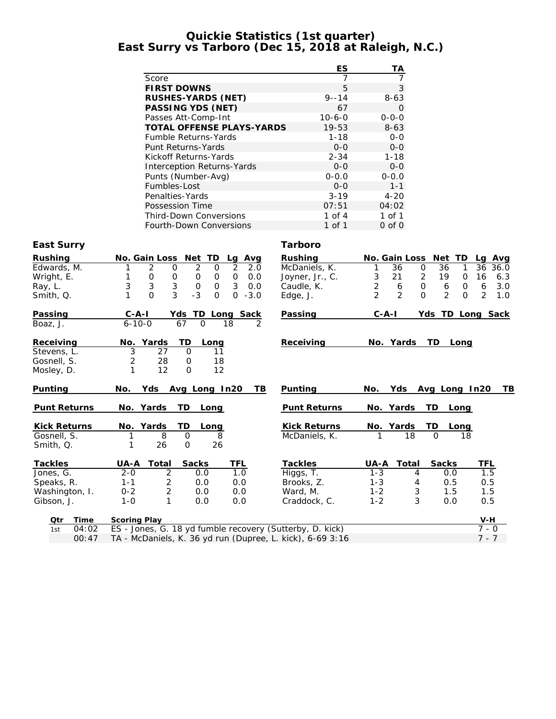#### **Quickie Statistics (1st quarter) East Surry vs Tarboro (Dec 15, 2018 at Raleigh, N.C.)**

|                                   | ES           | TА          |
|-----------------------------------|--------------|-------------|
| Score                             | 7            | 7           |
| <b>FIRST DOWNS</b>                | 5            | 3           |
| <b>RUSHES-YARDS (NET)</b>         | $9 - - 14$   | $8-63$      |
| <b>PASSING YDS (NET)</b>          | 67           | O           |
| Passes Att-Comp-Int               | $10 - 6 - 0$ | $0 - 0 - 0$ |
| <b>TOTAL OFFENSE PLAYS-YARDS</b>  | $19 - 53$    | $8 - 63$    |
| <b>Fumble Returns-Yards</b>       | $1 - 18$     | $0 - 0$     |
| Punt Returns-Yards                | $0 - 0$      | $0 - 0$     |
| Kickoff Returns-Yards             | $2 - 34$     | $1 - 18$    |
| <b>Interception Returns-Yards</b> | $0 - 0$      | $0 - 0$     |
| Punts (Number-Avg)                | $0 - 0.0$    | $0 - 0.0$   |
| Fumbles-Lost                      | $0 - 0$      | $1 - 1$     |
| Penalties-Yards                   | $3 - 19$     | $4 - 20$    |
| Possession Time                   | 07:51        | 04:02       |
| <b>Third-Down Conversions</b>     | 1 of $4$     | 1 of 1      |
| <b>Fourth-Down Conversions</b>    | 1 of 1       | 0 of 0      |

#### **East Surry Tarboro**

| <b>Rushing</b>      | Net TD<br><b>No. Gain Loss</b><br>Avg<br>Lg                 | <b>Rushing</b>      | <b>Net</b><br><b>No. Gain Loss</b>                            | TD<br>Lg Avg                      |
|---------------------|-------------------------------------------------------------|---------------------|---------------------------------------------------------------|-----------------------------------|
| Edwards, M.         | 2<br>2<br>2<br>2.0<br>0<br>0                                | McDaniels, K.       | 36<br>36<br>$\mathbf 0$<br>1                                  | 1<br>36<br>36.0                   |
| Wright, E.          | 0<br>0<br>0<br>0<br>0.0<br>0                                | Joyner, Jr., C.     | 3<br>2<br>21<br>19                                            | 16<br>6.3<br>0                    |
| Ray, L.             | 3<br>3<br>3<br>3<br>$\mathbf 0$<br>0.0<br>$\Omega$          | Caudle, K.          | $\overline{2}$<br>$\mathbf 0$<br>6<br>6                       | 6<br>3.0<br>$\mathbf 0$           |
| Smith, Q.           | 3<br>$-3$<br>$\Omega$<br>$\mathbf{O}$<br>$-3.0$<br>$\Omega$ | Edge, J.            | $\mathfrak{D}$<br>$\overline{2}$<br>$\mathcal{P}$<br>$\Omega$ | $\overline{2}$<br>$\Omega$<br>1.0 |
| Passing             | $C - A - I$<br>Yds TD Long Sack                             | Passing             | $C - A - I$                                                   | Yds TD Long Sack                  |
| Boaz, J.            | $6 - 10 - 0$<br>67<br>$\Omega$<br>18<br>2                   |                     |                                                               |                                   |
| Receiving           | TD<br>No. Yards<br>Long                                     | Receiving           | No. Yards<br>TD.                                              | Long                              |
| Stevens, L.         | 3<br>27<br>$\Omega$<br>11                                   |                     |                                                               |                                   |
| Gosnell, S.         | 2<br>28<br>18<br>$\mathbf 0$                                |                     |                                                               |                                   |
| Mosley, D.          | 1<br>12<br>$\mathsf{O}$<br>12                               |                     |                                                               |                                   |
| <b>Punting</b>      | TВ<br>Yds Avg Long In20<br>No.                              | Punting             | Yds<br>Avg Long In20<br>No.                                   | ΤВ                                |
| <b>Punt Returns</b> | TD<br>No. Yards<br>Long                                     | <b>Punt Returns</b> | No. Yards<br>TD.                                              | Long                              |
| <b>Kick Returns</b> | TD<br>Yards<br>No.<br>Long                                  | <b>Kick Returns</b> | No. Yards<br>TD                                               | Long                              |
| Gosnell, S.         | 8<br>8<br>$\Omega$                                          | McDaniels, K.       | 18<br>$\Omega$                                                | 18                                |
| Smith, Q.           | 26<br>$\mathbf 0$<br>26                                     |                     |                                                               |                                   |
| <b>Tackles</b>      | <b>Sacks</b><br><b>UA-A</b><br>Total<br>TFL                 | <b>Tackles</b>      | <b>Sacks</b><br>UA-A<br>Total                                 | TFL                               |
| Jones, G.           | $\overline{2}$<br>1.0<br>$2 - 0$<br>0.0                     | Higgs, T.           | $1 - 3$<br>0.0<br>4                                           | 1.5                               |
| Speaks, R.          | 2<br>0.0<br>$1 - 1$<br>0.0                                  | Brooks, Z.          | $1 - 3$<br>0.5<br>4                                           | 0.5                               |
| Washington, I.      | $\overline{2}$<br>0.0<br>$0 - 2$<br>0.0                     | Ward, M.            | 3<br>$1 - 2$<br>1.5                                           | 1.5                               |
| Gibson, J.          | 1<br>$1 - 0$<br>0.0<br>0.0                                  | Craddock, C.        | 3<br>$1 - 2$<br>0.0                                           | 0.5                               |
| Qtr<br>Time         | <b>Scoring Play</b>                                         |                     |                                                               | V-H                               |
| 04:02<br>1st        | ES - Jones, G. 18 yd fumble recovery (Sutterby, D. kick)    |                     |                                                               | $7 - 0$                           |
| 00:47               | TA - McDaniels, K. 36 yd run (Dupree, L. kick), 6-69 3:16   |                     |                                                               | $7 - 7$                           |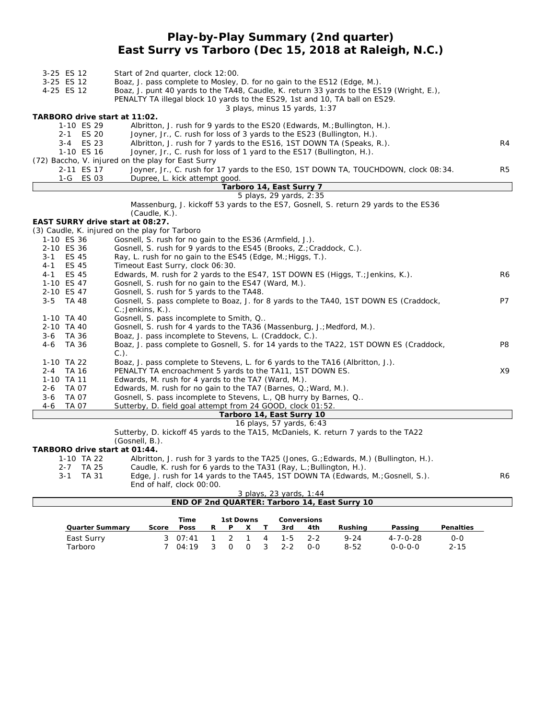### **Play-by-Play Summary (2nd quarter) East Surry vs Tarboro (Dec 15, 2018 at Raleigh, N.C.)**

| 3-25 ES 12<br>3-25 ES 12         | Start of 2nd quarter, clock 12:00.<br>Boaz, J. pass complete to Mosley, D. for no gain to the ES12 (Edge, M.).                                                                                           |                |
|----------------------------------|----------------------------------------------------------------------------------------------------------------------------------------------------------------------------------------------------------|----------------|
| 4-25 ES 12                       | Boaz, J. punt 40 yards to the TA48, Caudle, K. return 33 yards to the ES19 (Wright, E.),<br>PENALTY TA illegal block 10 yards to the ES29, 1st and 10, TA ball on ES29.<br>3 plays, minus 15 yards, 1:37 |                |
| TARBORO drive start at 11:02.    |                                                                                                                                                                                                          |                |
| 1-10 ES 29                       | Albritton, J. rush for 9 yards to the ES20 (Edwards, M.; Bullington, H.).                                                                                                                                |                |
| 2-1 ES 20                        | Joyner, Jr., C. rush for loss of 3 yards to the ES23 (Bullington, H.).                                                                                                                                   |                |
| 3-4 ES 23                        | Albritton, J. rush for 7 yards to the ES16, 1ST DOWN TA (Speaks, R.).                                                                                                                                    | R <sub>4</sub> |
| 1-10 ES 16                       | Joyner, Jr., C. rush for loss of 1 yard to the ES17 (Bullington, H.).                                                                                                                                    |                |
|                                  | (72) Baccho, V. injured on the play for East Surry                                                                                                                                                       |                |
| 2-11 ES 17                       | Joyner, Jr., C. rush for 17 yards to the ESO, 1ST DOWN TA, TOUCHDOWN, clock 08:34.                                                                                                                       | R <sub>5</sub> |
| 1-G ES 03                        | Dupree, L. kick attempt good.                                                                                                                                                                            |                |
|                                  | Tarboro 14, East Surry 7                                                                                                                                                                                 |                |
|                                  | 5 plays, 29 yards, 2:35                                                                                                                                                                                  |                |
|                                  | Massenburg, J. kickoff 53 yards to the ES7, Gosnell, S. return 29 yards to the ES36<br>(Caudle, K.).                                                                                                     |                |
| EAST SURRY drive start at 08:27. |                                                                                                                                                                                                          |                |
|                                  | (3) Caudle, K. injured on the play for Tarboro                                                                                                                                                           |                |
| 1-10 ES 36                       | Gosnell, S. rush for no gain to the ES36 (Armfield, J.).                                                                                                                                                 |                |
| 2-10 ES 36                       | Gosnell, S. rush for 9 yards to the ES45 (Brooks, Z.; Craddock, C.).                                                                                                                                     |                |
| ES 45<br>3-1                     | Ray, L. rush for no gain to the ES45 (Edge, M.; Higgs, T.).                                                                                                                                              |                |
| <b>ES 45</b><br>$4 - 1$          | Timeout East Surry, clock 06:30.                                                                                                                                                                         |                |
| <b>ES 45</b><br>$4 - 1$          | Edwards, M. rush for 2 yards to the ES47, 1ST DOWN ES (Higgs, T.; Jenkins, K.).                                                                                                                          | R6             |
| 1-10 ES 47                       | Gosnell, S. rush for no gain to the ES47 (Ward, M.).                                                                                                                                                     |                |
| 2-10 ES 47                       | Gosnell, S. rush for 5 yards to the TA48.                                                                                                                                                                |                |
| $3 - 5$                          |                                                                                                                                                                                                          | P7             |
| TA 48                            | Gosnell, S. pass complete to Boaz, J. for 8 yards to the TA40, 1ST DOWN ES (Craddock,<br>$C$ .; Jenkins, K.).                                                                                            |                |
| 1-10 TA 40                       | Gosnell, S. pass incomplete to Smith, Q                                                                                                                                                                  |                |
| 2-10 TA 40                       | Gosnell, S. rush for 4 yards to the TA36 (Massenburg, J.; Medford, M.).                                                                                                                                  |                |
| 3-6 TA 36                        | Boaz, J. pass incomplete to Stevens, L. (Craddock, C.).                                                                                                                                                  |                |
| 4-6<br>TA 36                     | Boaz, J. pass complete to Gosnell, S. for 14 yards to the TA22, 1ST DOWN ES (Craddock,                                                                                                                   | P8             |
|                                  | $C.$ ).                                                                                                                                                                                                  |                |
| 1-10 TA 22                       | Boaz, J. pass complete to Stevens, L. for 6 yards to the TA16 (Albritton, J.).                                                                                                                           |                |
| 2-4 TA 16                        | PENALTY TA encroachment 5 yards to the TA11, 1ST DOWN ES.                                                                                                                                                | X9             |
| 1-10 TA 11                       | Edwards, M. rush for 4 yards to the TA7 (Ward, M.).                                                                                                                                                      |                |
| $2 - 6$<br>TA 07                 | Edwards, M. rush for no gain to the TA7 (Barnes, Q.; Ward, M.).                                                                                                                                          |                |
| $3-6$<br><b>TA 07</b>            | Gosnell, S. pass incomplete to Stevens, L., QB hurry by Barnes, Q                                                                                                                                        |                |
| $4-6$<br><b>TA 07</b>            | Sutterby, D. field goal attempt from 24 GOOD, clock 01:52.                                                                                                                                               |                |
|                                  | Tarboro 14, East Surry 10                                                                                                                                                                                |                |
|                                  | 16 plays, 57 yards, 6:43                                                                                                                                                                                 |                |
|                                  | Sutterby, D. kickoff 45 yards to the TA15, McDaniels, K. return 7 yards to the TA22                                                                                                                      |                |
|                                  | (Gosnell, B.).                                                                                                                                                                                           |                |
| TARBORO drive start at 01:44.    |                                                                                                                                                                                                          |                |
| 1-10 TA 22                       | Albritton, J. rush for 3 yards to the TA25 (Jones, G.; Edwards, M.) (Bullington, H.).                                                                                                                    |                |
| 2-7 TA 25                        | Caudle, K. rush for 6 yards to the TA31 (Ray, L.; Bullington, H.).                                                                                                                                       |                |
| $3 - 1$<br>TA 31                 | Edge, J. rush for 14 yards to the TA45, 1ST DOWN TA (Edwards, M.; Gosnell, S.).                                                                                                                          | R6             |
|                                  | End of half, clock 00:00.                                                                                                                                                                                |                |

*3 plays, 23 yards, 1:44* **END OF 2nd QUARTER: Tarboro 14, East Surry 10**

|                        |       | Time            |   | 1st Downs   |     |         | <b>Conversions</b> |          |                  |           |
|------------------------|-------|-----------------|---|-------------|-----|---------|--------------------|----------|------------------|-----------|
| <b>Quarter Summary</b> | Score | <b>Poss</b>     | R | <b>D</b>    |     | 3rd     | 4th                | Rushina  | Passing          | Penalties |
| East Surry             |       | $3 \quad 07:41$ |   | $2 \quad 1$ | 4   | -1-5    | $2 - 2$            | $9 - 24$ | $4 - 7 - 0 - 28$ | $0 - 0$   |
| Tarboro                |       | 04:19           |   |             | - 3 | $2 - 2$ | $0 - 0$            | $8 - 52$ | $0 - 0 - 0 - 0$  | $2 - 15$  |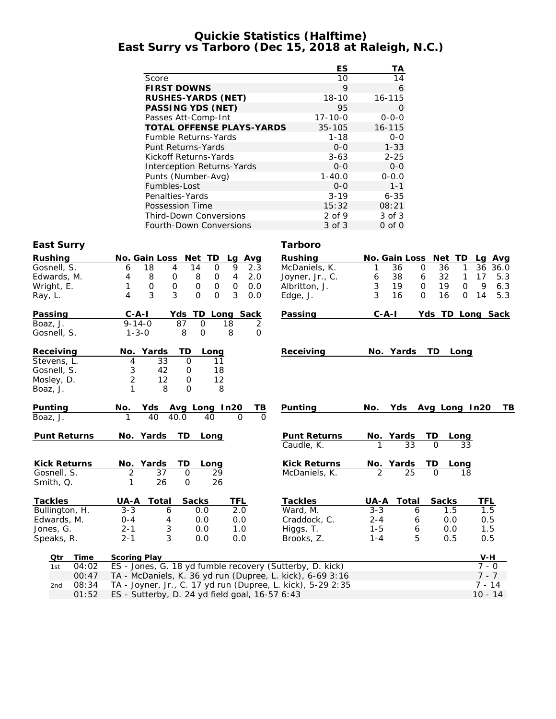#### **Quickie Statistics (Halftime) East Surry vs Tarboro (Dec 15, 2018 at Raleigh, N.C.)**

|                                   | ES            | ТA          |
|-----------------------------------|---------------|-------------|
| Score                             | 10            | 14          |
| <b>FIRST DOWNS</b>                | 9             | 6           |
| <b>RUSHES-YARDS (NET)</b>         | $18-10$       | $16 - 115$  |
| <b>PASSING YDS (NET)</b>          | 95            | 0           |
| Passes Att-Comp-Int               | $17 - 10 - 0$ | $0 - 0 - 0$ |
| <b>TOTAL OFFENSE PLAYS-YARDS</b>  | $35 - 105$    | $16 - 115$  |
| <b>Fumble Returns-Yards</b>       | $1 - 18$      | $0 - 0$     |
| <b>Punt Returns-Yards</b>         | $0 - 0$       | $1 - 33$    |
| Kickoff Returns-Yards             | $3 - 63$      | $2 - 25$    |
| <b>Interception Returns-Yards</b> | $0 - 0$       | $0 - 0$     |
| Punts (Number-Avg)                | $1 - 40.0$    | $0 - 0.0$   |
| Fumbles-Lost                      | $0 - 0$       | $1 - 1$     |
| Penalties-Yards                   | $3 - 19$      | $6 - 35$    |
| Possession Time                   | 15:32         | 08:21       |
| <b>Third-Down Conversions</b>     | $2$ of 9      | 3 of 3      |
| <b>Fourth-Down Conversions</b>    | 3 of 3        | $0$ of $0$  |

#### **East Surry Tarboro**

| Rushing             |       |                                                | No. Gain Loss Net TD       |                            | Lg             | Avg         | <b>Rushing</b>                                              |                | No. Gain Loss  | Net TD        | La<br>Avg             |
|---------------------|-------|------------------------------------------------|----------------------------|----------------------------|----------------|-------------|-------------------------------------------------------------|----------------|----------------|---------------|-----------------------|
| Gosnell, S.         |       | 6                                              | 18<br>4                    | 14<br>$\mathbf 0$          | 9              | 2.3         | McDaniels, K.                                               | 1              | 36<br>$\Omega$ | 36            | 36<br>1<br>36.0       |
| Edwards, M.         |       | 4                                              | 8<br>0                     | 8<br>0                     | $\overline{4}$ | 2.0         | Joyner, Jr., C.                                             | 6              | 38<br>6        | 32            | 17<br>1<br>5.3        |
| Wright, E.          |       | 1                                              | $\mathbf 0$<br>$\mathbf 0$ | $\mathbf 0$<br>$\mathbf 0$ | $\Omega$       | 0.0         | Albritton, J.                                               | 3              | 19<br>$\Omega$ | 19            | $\Omega$<br>9<br>6.3  |
| Ray, L.             |       | 4                                              | 3<br>3                     | $\Omega$<br>$\Omega$       | 3              | 0.0         | Edge, J.                                                    | 3              | 16<br>$\Omega$ | 16            | $\Omega$<br>14<br>5.3 |
| Passing             |       | $C - A - I$                                    |                            | Yds TD Long Sack           |                |             | Passing                                                     | $C - A - I$    |                |               | Yds TD Long Sack      |
| Boaz, J.            |       | $9 - 14 - 0$                                   | 87                         | $\Omega$                   | 18             | 2           |                                                             |                |                |               |                       |
| Gosnell, S.         |       | $1 - 3 - 0$                                    |                            | 8<br>$\Omega$              | 8              | $\mathbf 0$ |                                                             |                |                |               |                       |
| Receiving           |       | No. Yards                                      |                            | TD<br>Long                 |                |             | Receiving                                                   |                | No. Yards      | TD Long       |                       |
| Stevens, L.         |       | 4                                              | 33                         | $\mathbf 0$                | 11             |             |                                                             |                |                |               |                       |
| Gosnell, S.         |       | 3                                              | 42                         | 0                          | 18             |             |                                                             |                |                |               |                       |
| Mosley, D.          |       | $\overline{2}$                                 | 12                         | $\mathbf 0$                | 12             |             |                                                             |                |                |               |                       |
| Boaz, J.            |       | 1                                              | 8                          | $\Omega$                   | 8              |             |                                                             |                |                |               |                       |
| Punting             |       | No.                                            | Yds                        | Avg Long In20              |                | TВ          | Punting                                                     | No.            | Yds            | Avg Long In20 | TВ                    |
| Boaz, J.            |       | 1                                              | 40<br>40.0                 | 40                         | $\Omega$       | $\Omega$    |                                                             |                |                |               |                       |
| <b>Punt Returns</b> |       | No. Yards                                      | <b>TD</b>                  | Long                       |                |             | <b>Punt Returns</b>                                         |                | No. Yards      | TD<br>Long    |                       |
|                     |       |                                                |                            |                            |                |             | Caudle, K.                                                  | 1              | 33             | $\Omega$      | 33                    |
| <b>Kick Returns</b> |       | No. Yards                                      | TD                         | Long                       |                |             | <b>Kick Returns</b>                                         |                | No. Yards      | TD<br>Long    |                       |
| Gosnell, S.         |       | $\overline{2}$                                 | 37                         | $\Omega$                   | 29             |             | McDaniels, K.                                               | $\mathfrak{D}$ | 25             | $\Omega$      | 18                    |
| Smith, Q.           |       | 1                                              | 26                         | $\Omega$<br>26             |                |             |                                                             |                |                |               |                       |
| <b>Tackles</b>      |       | UA-A Total                                     |                            | <b>Sacks</b>               | TFL            |             | <b>Tackles</b>                                              | UA-A           | Total          | <b>Sacks</b>  | <b>TFL</b>            |
| Bullington, H.      |       | $3 - 3$                                        | 6                          | 0.0                        | 2.0            |             | Ward, M.                                                    | $3 - 3$        | 6              | 1.5           | 1.5                   |
| Edwards, M.         |       | $0 - 4$                                        | 4                          | 0.0                        | 0.0            |             | Craddock, C.                                                | $2 - 4$        | 6              | 0.0           | 0.5                   |
| Jones, G.           |       | $2 - 1$                                        | 3                          | 0.0                        | 1.0            |             | Higgs, T.                                                   | $1 - 5$        | 6              | 0.0           | 1.5                   |
| Speaks, R.          |       | $2 - 1$                                        | 3                          | 0.0                        | 0.0            |             | Brooks, Z.                                                  | $1 - 4$        | 5              | 0.5           | 0.5                   |
| Qtr                 | Time  | <b>Scoring Play</b>                            |                            |                            |                |             |                                                             |                |                |               | $V-H$                 |
| 1st                 | 04:02 |                                                |                            |                            |                |             | ES - Jones, G. 18 yd fumble recovery (Sutterby, D. kick)    |                |                |               | $7 - 0$               |
|                     | 00:47 |                                                |                            |                            |                |             | TA - McDaniels, K. 36 yd run (Dupree, L. kick), 6-69 3:16   |                |                |               | $7 - 7$               |
| 2nd                 | 08:34 |                                                |                            |                            |                |             | TA - Joyner, Jr., C. 17 yd run (Dupree, L. kick), 5-29 2:35 |                |                |               | $7 - 14$              |
|                     | 01:52 | ES - Sutterby, D. 24 yd field goal, 16-57 6:43 |                            |                            |                |             |                                                             |                |                | $10 - 14$     |                       |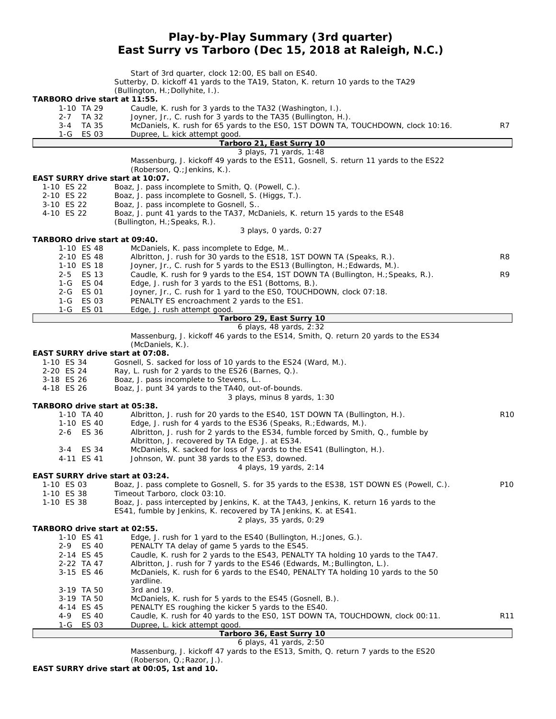## **Play-by-Play Summary (3rd quarter) East Surry vs Tarboro (Dec 15, 2018 at Raleigh, N.C.)**

|                                                | Start of 3rd quarter, clock 12:00, ES ball on ES40.                                                                                                              |                 |
|------------------------------------------------|------------------------------------------------------------------------------------------------------------------------------------------------------------------|-----------------|
|                                                | Sutterby, D. kickoff 41 yards to the TA19, Staton, K. return 10 yards to the TA29<br>(Bullington, H.; Dollyhite, I.).                                            |                 |
| TARBORO drive start at 11:55.                  |                                                                                                                                                                  |                 |
| 1-10 TA 29                                     | Caudle, K. rush for 3 yards to the TA32 (Washington, I.).                                                                                                        |                 |
| 2-7 TA 32                                      | Joyner, Jr., C. rush for 3 yards to the TA35 (Bullington, H.).                                                                                                   |                 |
| TA 35<br>3-4<br>1-G ES 03                      | McDaniels, K. rush for 65 yards to the ES0, 1ST DOWN TA, TOUCHDOWN, clock 10:16.<br>Dupree, L. kick attempt good.                                                | R7              |
|                                                | Tarboro 21, East Surry 10                                                                                                                                        |                 |
|                                                | 3 plays, 71 yards, 1:48                                                                                                                                          |                 |
|                                                | Massenburg, J. kickoff 49 yards to the ES11, Gosnell, S. return 11 yards to the ES22                                                                             |                 |
| EAST SURRY drive start at 10:07.               | (Roberson, Q.; Jenkins, K.).                                                                                                                                     |                 |
| 1-10 ES 22                                     | Boaz, J. pass incomplete to Smith, Q. (Powell, C.).                                                                                                              |                 |
| 2-10 ES 22                                     | Boaz, J. pass incomplete to Gosnell, S. (Higgs, T.).                                                                                                             |                 |
| 3-10 ES 22                                     | Boaz, J. pass incomplete to Gosnell, S                                                                                                                           |                 |
| 4-10 ES 22                                     | Boaz, J. punt 41 yards to the TA37, McDaniels, K. return 15 yards to the ES48                                                                                    |                 |
|                                                | (Bullington, H.; Speaks, R.).<br>3 plays, 0 yards, 0:27                                                                                                          |                 |
| TARBORO drive start at 09:40.                  |                                                                                                                                                                  |                 |
| 1-10 ES 48                                     | McDaniels, K. pass incomplete to Edge, M                                                                                                                         |                 |
| 2-10 ES 48                                     | Albritton, J. rush for 30 yards to the ES18, 1ST DOWN TA (Speaks, R.).                                                                                           | R8              |
| 1-10 ES 18<br>2-5 ES 13                        | Joyner, Jr., C. rush for 5 yards to the ES13 (Bullington, H.; Edwards, M.).<br>Caudle, K. rush for 9 yards to the ES4, 1ST DOWN TA (Bullington, H.; Speaks, R.). | R9              |
| 1-G ES 04                                      | Edge, J. rush for 3 yards to the ES1 (Bottoms, B.).                                                                                                              |                 |
| 2-G ES 01                                      | Joyner, Jr., C. rush for 1 yard to the ESO, TOUCHDOWN, clock 07:18.                                                                                              |                 |
| 1-G ES 03                                      | PENALTY ES encroachment 2 yards to the ES1.                                                                                                                      |                 |
| 1-G ES 01                                      | Edge, J. rush attempt good.<br>Tarboro 29, East Surry 10                                                                                                         |                 |
|                                                | 6 plays, 48 yards, 2:32                                                                                                                                          |                 |
|                                                | Massenburg, J. kickoff 46 yards to the ES14, Smith, Q. return 20 yards to the ES34                                                                               |                 |
|                                                | (McDaniels, K.).                                                                                                                                                 |                 |
| EAST SURRY drive start at 07:08.<br>1-10 ES 34 | Gosnell, S. sacked for loss of 10 yards to the ES24 (Ward, M.).                                                                                                  |                 |
| 2-20 ES 24                                     | Ray, L. rush for 2 yards to the ES26 (Barnes, Q.).                                                                                                               |                 |
| 3-18 ES 26                                     | Boaz, J. pass incomplete to Stevens, L                                                                                                                           |                 |
| 4-18 ES 26                                     | Boaz, J. punt 34 yards to the TA40, out-of-bounds.                                                                                                               |                 |
|                                                | 3 plays, minus 8 yards, 1:30                                                                                                                                     |                 |
| TARBORO drive start at 05:38.<br>1-10 TA 40    | Albritton, J. rush for 20 yards to the ES40, 1ST DOWN TA (Bullington, H.).                                                                                       | R <sub>10</sub> |
| 1-10 ES 40                                     | Edge, J. rush for 4 yards to the ES36 (Speaks, R.; Edwards, M.).                                                                                                 |                 |
| 2-6 ES 36                                      | Albritton, J. rush for 2 yards to the ES34, fumble forced by Smith, Q., fumble by                                                                                |                 |
|                                                | Albritton, J. recovered by TA Edge, J. at ES34.                                                                                                                  |                 |
| ES 34<br>3-4<br>4-11 ES 41                     | McDaniels, K. sacked for loss of 7 yards to the ES41 (Bullington, H.).<br>Johnson, W. punt 38 yards to the ES3, downed.                                          |                 |
|                                                | 4 plays, 19 yards, 2:14                                                                                                                                          |                 |
| EAST SURRY drive start at 03:24.               |                                                                                                                                                                  |                 |
| 1-10 ES 03                                     | Boaz, J. pass complete to Gosnell, S. for 35 yards to the ES38, 1ST DOWN ES (Powell, C.).                                                                        | P <sub>10</sub> |
| 1-10 ES 38<br>1-10 ES 38                       | Timeout Tarboro, clock 03:10.<br>Boaz, J. pass intercepted by Jenkins, K. at the TA43, Jenkins, K. return 16 yards to the                                        |                 |
|                                                | ES41, fumble by Jenkins, K. recovered by TA Jenkins, K. at ES41.                                                                                                 |                 |
|                                                | 2 plays, 35 yards, 0:29                                                                                                                                          |                 |
| TARBORO drive start at 02:55.                  |                                                                                                                                                                  |                 |
| 1-10 ES 41                                     | Edge, J. rush for 1 yard to the ES40 (Bullington, H.; Jones, G.).                                                                                                |                 |
| <b>ES 40</b><br>$2 - 9$<br>2-14 ES 45          | PENALTY TA delay of game 5 yards to the ES45.<br>Caudle, K. rush for 2 yards to the ES43, PENALTY TA holding 10 yards to the TA47.                               |                 |
| 2-22 TA 47                                     | Albritton, J. rush for 7 yards to the ES46 (Edwards, M.; Bullington, L.).                                                                                        |                 |
| 3-15 ES 46                                     | McDaniels, K. rush for 6 yards to the ES40, PENALTY TA holding 10 yards to the 50                                                                                |                 |
|                                                | vardline.                                                                                                                                                        |                 |
| 3-19 TA 50<br>3-19 TA 50                       | 3rd and 19.<br>McDaniels, K. rush for 5 yards to the ES45 (Gosnell, B.).                                                                                         |                 |
| 4-14 ES 45                                     | PENALTY ES roughing the kicker 5 yards to the ES40.                                                                                                              |                 |
| 4-9<br>ES 40                                   | Caudle, K. rush for 40 yards to the ES0, 1ST DOWN TA, TOUCHDOWN, clock 00:11.                                                                                    | R <sub>11</sub> |
| ES 03<br>1-G                                   | Dupree, L. kick attempt good.                                                                                                                                    |                 |
|                                                | Tarboro 36, East Surry 10                                                                                                                                        |                 |

#### *6 plays, 41 yards, 2:50*

Massenburg, J. kickoff 47 yards to the ES13, Smith, Q. return 7 yards to the ES20

(Roberson, Q.;Razor, J.). **EAST SURRY drive start at 00:05, 1st and 10.**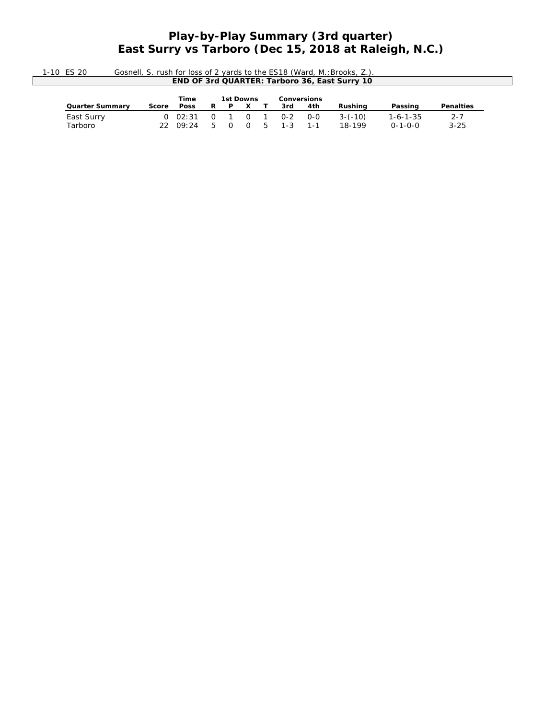## **Play-by-Play Summary (3rd quarter) East Surry vs Tarboro (Dec 15, 2018 at Raleigh, N.C.)**

| $-10$ | Gosnell, S. rush for loss of 2 vards to the ES18 (Ward, M.: Brooks, |
|-------|---------------------------------------------------------------------|
|       | <b>END OF 3rd QUARTER: Tarboro 36. East Surry 10</b>                |

|                        |       | Time                    |      | 1st Downs        |     | <b>Conversions</b> |         |           |                  |                  |
|------------------------|-------|-------------------------|------|------------------|-----|--------------------|---------|-----------|------------------|------------------|
| <b>Quarter Summary</b> | Score | <b>Poss</b>             | R.   |                  | P X | 3rd                | 4th     | Rushina   | Passing          | <b>Penalties</b> |
| East Surry             |       | 0 02:31 0 1 0 1 0-2 0-0 |      |                  |     |                    |         | $3-(-10)$ | $1 - 6 - 1 - 35$ | $2 - 7$          |
| Tarboro                |       | 22009:24                | $-5$ | $\overline{0}$ 0 |     | 5 1-3              | $1 - 1$ | 18-199    | $0 - 1 - 0 - 0$  | $3 - 25$         |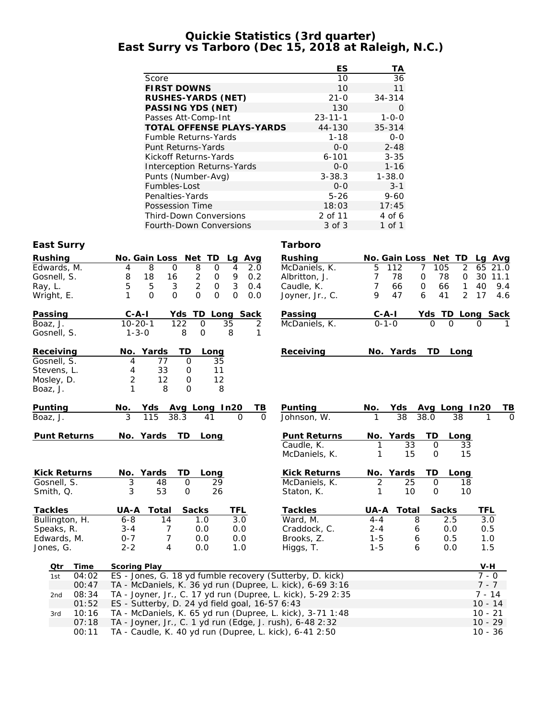#### **Quickie Statistics (3rd quarter) East Surry vs Tarboro (Dec 15, 2018 at Raleigh, N.C.)**

|                                   | ES            | ТA          |
|-----------------------------------|---------------|-------------|
| Score                             | 10            | 36          |
| <b>FIRST DOWNS</b>                | 10            | 11          |
| <b>RUSHES-YARDS (NET)</b>         | $21 - 0$      | $34 - 314$  |
| PASSING YDS (NET)                 | 130           | 0           |
| Passes Att-Comp-Int               | $23 - 11 - 1$ | $1 - 0 - 0$ |
| <b>TOTAL OFFENSE PLAYS-YARDS</b>  | 44-130        | $35 - 314$  |
| <b>Fumble Returns-Yards</b>       | $1 - 18$      | $0 - 0$     |
| Punt Returns-Yards                | $0 - 0$       | $2 - 48$    |
| Kickoff Returns-Yards             | $6 - 101$     | $3 - 35$    |
| <b>Interception Returns-Yards</b> | $0 - 0$       | $1 - 16$    |
| Punts (Number-Avg)                | $3 - 38.3$    | $1 - 38.0$  |
| Fumbles-Lost                      | $0 - 0$       | $3 - 1$     |
| Penalties-Yards                   | $5 - 26$      | $9 - 60$    |
| Possession Time                   | 18:03         | 17:45       |
| <b>Third-Down Conversions</b>     | 2 of 11       | 4 of 6      |
| Fourth-Down Conversions           | 3 of 3        | 1 of 1      |

#### **East Surry Tarboro**

| <b>Rushing</b><br>Edwards, M.<br>Gosnell, S.<br>Ray, L.<br>Wright, E. |                     | No. Gain Loss Net TD<br>4<br>8<br>18<br>5<br>1                      | 8<br>$\mathbf{O}$<br>16<br>5<br>$\mathfrak{Z}$<br>$\mathbf{O}$<br>$\overline{O}$ | $\overline{8}$<br>$\overline{c}$<br>$\overline{2}$<br>$\overline{O}$ | $\mathbf 0$<br>0<br>$\mathbf 0$<br>$\Omega$ | Lg Avg<br>4<br>2.0<br>9<br>0.2<br>3<br>0.4<br>$\Omega$<br>0.0 |          | <b>Rushing</b><br>McDaniels, K.<br>Albritton, J.<br>Caudle, K.<br>Joyner, Jr., C. | 5<br>7<br>7<br>9            | No. Gain Loss Net TD<br>112<br>78<br>66<br>47 | $\overline{7}$<br>105<br>0<br>$\mathbf 0$<br>6 | 2<br>78<br>0<br>66<br>1<br>$\overline{2}$<br>41 | La Ava<br>65 21.0<br>30 11.1<br>40<br>17 | 9.4<br>4.6 |
|-----------------------------------------------------------------------|---------------------|---------------------------------------------------------------------|----------------------------------------------------------------------------------|----------------------------------------------------------------------|---------------------------------------------|---------------------------------------------------------------|----------|-----------------------------------------------------------------------------------|-----------------------------|-----------------------------------------------|------------------------------------------------|-------------------------------------------------|------------------------------------------|------------|
| Passing<br>Boaz, J.<br>Gosnell, S.                                    |                     | $C - A - I$<br>$10 - 20 - 1$<br>$1 - 3 - 0$                         |                                                                                  | 122<br>8                                                             | $\mathsf{O}$<br>$\mathbf 0$                 | Yds TD Long Sack<br>35<br>8                                   | 2<br>1   | Passing<br>McDaniels, K.                                                          | <u>C-A-I</u><br>$0 - 1 - 0$ |                                               | $\Omega$                                       | Yds TD Long Sack<br>O                           | 0                                        |            |
| Receiving<br>Gosnell, S.<br>Stevens, L.<br>Mosley, D.<br>Boaz, J.     |                     | No. Yards<br>4<br>4<br>$\overline{2}$<br>1                          | 77<br>33<br>12<br>8                                                              | TD<br>$\mathbf 0$<br>$\mathbf 0$<br>0<br>$\Omega$                    | Long<br>35<br>11<br>12<br>8                 |                                                               |          | Receiving                                                                         |                             | No. Yards                                     | TD.                                            | Long                                            |                                          |            |
| Punting                                                               |                     | No.                                                                 | Yds                                                                              |                                                                      | Avg Long In20                               |                                                               | TВ       | <b>Punting</b>                                                                    | No.                         | Yds                                           |                                                | Avg Long In20                                   |                                          | TВ         |
| Boaz, J.                                                              |                     | 3                                                                   | 115                                                                              | 38.3                                                                 | 41                                          | 0                                                             | $\Omega$ | Johnson, W.                                                                       | 1                           | $\overline{38}$                               | 38.0                                           | 38                                              |                                          | $\Omega$   |
|                                                                       | <b>Punt Returns</b> | No. Yards                                                           |                                                                                  | TD                                                                   | Long                                        |                                                               |          | <b>Punt Returns</b><br>Caudle, K.<br>McDaniels, K.                                | 1                           | No. Yards<br>33<br>15                         | TD<br>$\mathbf 0$<br>$\mathbf 0$               | Long<br>33<br>15                                |                                          |            |
|                                                                       | <b>Kick Returns</b> | No. Yards                                                           |                                                                                  | TD                                                                   | Long                                        |                                                               |          | <b>Kick Returns</b>                                                               |                             | No. Yards                                     | TD                                             | Long                                            |                                          |            |
| Gosnell, S.                                                           |                     | $\overline{3}$                                                      | 48                                                                               | 0                                                                    | 29                                          |                                                               |          | McDaniels, K.                                                                     | 2                           | 25                                            | $\mathbf 0$                                    | 18                                              |                                          |            |
| Smith, Q.                                                             |                     | 3                                                                   | 53                                                                               | $\mathsf{O}$                                                         | 26                                          |                                                               |          | Staton, K.                                                                        | 1                           | 10                                            | $\mathsf{O}$                                   | 10                                              |                                          |            |
| <b>Tackles</b>                                                        |                     | UA-A                                                                | Total                                                                            | <b>Sacks</b>                                                         |                                             | <b>TFL</b>                                                    |          | <b>Tackles</b>                                                                    | UA-A                        | Total                                         |                                                | <b>Sacks</b>                                    | <b>TFL</b>                               |            |
|                                                                       | Bullington, H.      | $6 - 8$                                                             | 14                                                                               |                                                                      | 1.0                                         | 3.0                                                           |          | Ward, M.                                                                          | $4 - 4$                     | 8                                             |                                                | 2.5                                             | 3.0                                      |            |
| Speaks, R.                                                            |                     | $3 - 4$                                                             | 7                                                                                |                                                                      | 0.0                                         | 0.0                                                           |          | Craddock, C.                                                                      | $2 - 4$                     | 6                                             |                                                | 0.0                                             | 0.5                                      |            |
| Edwards, M.                                                           |                     | $0 - 7$                                                             | $\overline{7}$                                                                   |                                                                      | 0.0                                         | 0.0                                                           |          | Brooks, Z.                                                                        | $1 - 5$                     | 6                                             |                                                | 0.5                                             | 1.0                                      |            |
| Jones, G.                                                             |                     | $2 - 2$                                                             | 4                                                                                |                                                                      | 0.0                                         | 1.0                                                           |          | Higgs, T.                                                                         | $1 - 5$                     | 6                                             |                                                | 0.0                                             | 1.5                                      |            |
| Qtr                                                                   | Time                | <b>Scoring Play</b>                                                 |                                                                                  |                                                                      |                                             |                                                               |          |                                                                                   |                             |                                               |                                                |                                                 | $V-H$                                    |            |
| 1st                                                                   | 04:02               |                                                                     |                                                                                  |                                                                      |                                             |                                                               |          | ES - Jones, G. 18 yd fumble recovery (Sutterby, D. kick)                          |                             |                                               |                                                |                                                 | $7 - 0$                                  |            |
|                                                                       | 00:47               |                                                                     |                                                                                  |                                                                      |                                             |                                                               |          | TA - McDaniels, K. 36 yd run (Dupree, L. kick), 6-69 3:16                         |                             |                                               |                                                |                                                 | $7 - 7$                                  |            |
| 2nd                                                                   | 08:34               |                                                                     |                                                                                  |                                                                      |                                             |                                                               |          | TA - Joyner, Jr., C. 17 yd run (Dupree, L. kick), 5-29 2:35                       |                             |                                               |                                                |                                                 | $7 - 14$                                 |            |
|                                                                       | 01:52               | ES - Sutterby, D. 24 yd field goal, 16-57 6:43                      |                                                                                  |                                                                      |                                             |                                                               |          |                                                                                   |                             |                                               |                                                |                                                 | $10 - 14$                                |            |
| 3rd                                                                   | 10:16               |                                                                     |                                                                                  |                                                                      |                                             |                                                               |          | TA - McDaniels, K. 65 yd run (Dupree, L. kick), 3-71 1:48                         |                             |                                               |                                                |                                                 | $10 - 21$                                |            |
|                                                                       | 07:18               | TA - Joyner, Jr., C. 1 yd run (Edge, J. rush), 6-48 2:32            |                                                                                  |                                                                      |                                             |                                                               |          |                                                                                   |                             |                                               | $10 - 29$                                      |                                                 |                                          |            |
|                                                                       | 00:11               | TA - Caudle, K. 40 yd run (Dupree, L. kick), 6-41 2:50<br>$10 - 36$ |                                                                                  |                                                                      |                                             |                                                               |          |                                                                                   |                             |                                               |                                                |                                                 |                                          |            |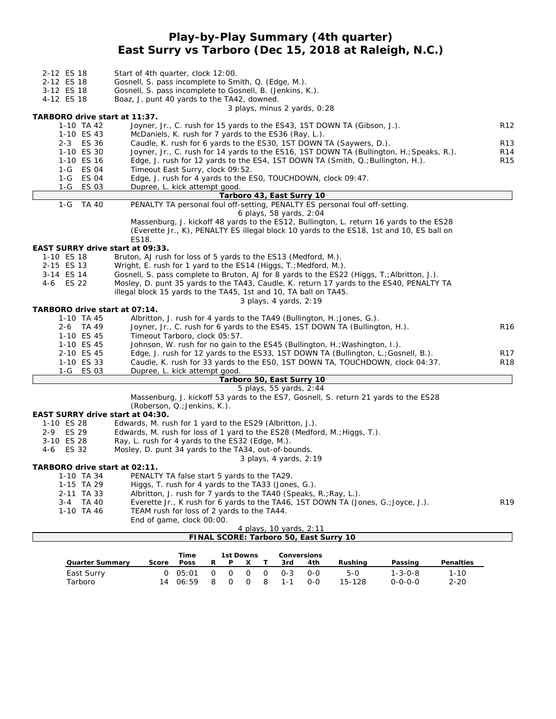### **Play-by-Play Summary (4th quarter) East Surry vs Tarboro (Dec 15, 2018 at Raleigh, N.C.)**

| 2-12 ES 18                                                                                                | Start of 4th quarter, clock 12:00.                                                                                                 |                                    |  |  |  |  |  |  |
|-----------------------------------------------------------------------------------------------------------|------------------------------------------------------------------------------------------------------------------------------------|------------------------------------|--|--|--|--|--|--|
| 2-12 ES 18                                                                                                | Gosnell, S. pass incomplete to Smith, Q. (Edge, M.).                                                                               |                                    |  |  |  |  |  |  |
| 3-12 ES 18                                                                                                | Gosnell, S. pass incomplete to Gosnell, B. (Jenkins, K.).                                                                          |                                    |  |  |  |  |  |  |
| 4-12 ES 18                                                                                                | Boaz, J. punt 40 yards to the TA42, downed.                                                                                        |                                    |  |  |  |  |  |  |
|                                                                                                           | 3 plays, minus 2 yards, 0:28                                                                                                       |                                    |  |  |  |  |  |  |
| TARBORO drive start at 11:37.                                                                             |                                                                                                                                    |                                    |  |  |  |  |  |  |
| 1-10 TA 42                                                                                                | Joyner, Jr., C. rush for 15 yards to the ES43, 1ST DOWN TA (Gibson, J.).                                                           | R <sub>12</sub>                    |  |  |  |  |  |  |
| 1-10 ES 43                                                                                                | McDaniels, K. rush for 7 yards to the ES36 (Ray, L.).                                                                              |                                    |  |  |  |  |  |  |
| 2-3 ES 36                                                                                                 | Caudle, K. rush for 6 yards to the ES30, 1ST DOWN TA (Saywers, D.).                                                                | R <sub>13</sub>                    |  |  |  |  |  |  |
| 1-10 ES 30                                                                                                | Joyner, Jr., C. rush for 14 yards to the ES16, 1ST DOWN TA (Bullington, H.; Speaks, R.).                                           | R <sub>14</sub><br>R <sub>15</sub> |  |  |  |  |  |  |
|                                                                                                           | 1-10 ES 16<br>Edge, J. rush for 12 yards to the ES4, 1ST DOWN TA (Smith, $Q_i$ ; Bullington, H.).                                  |                                    |  |  |  |  |  |  |
| 1-G ES 04                                                                                                 | Timeout East Surry, clock 09:52.                                                                                                   |                                    |  |  |  |  |  |  |
| 1-G ES 04                                                                                                 | Edge, J. rush for 4 yards to the ESO, TOUCHDOWN, clock 09:47.                                                                      |                                    |  |  |  |  |  |  |
| 1-G ES 03                                                                                                 | Dupree, L. kick attempt good.                                                                                                      |                                    |  |  |  |  |  |  |
|                                                                                                           | Tarboro 43, East Surry 10                                                                                                          |                                    |  |  |  |  |  |  |
| $1-G$<br><b>TA 40</b>                                                                                     | PENALTY TA personal foul off-setting, PENALTY ES personal foul off-setting.                                                        |                                    |  |  |  |  |  |  |
|                                                                                                           | 6 plays, 58 yards, 2:04                                                                                                            |                                    |  |  |  |  |  |  |
|                                                                                                           | Massenburg, J. kickoff 48 yards to the ES12, Bullington, L. return 16 yards to the ES28                                            |                                    |  |  |  |  |  |  |
|                                                                                                           | (Everette Jr., K), PENALTY ES illegal block 10 yards to the ES18, 1st and 10, ES ball on                                           |                                    |  |  |  |  |  |  |
|                                                                                                           | ES18.                                                                                                                              |                                    |  |  |  |  |  |  |
| EAST SURRY drive start at 09:33.                                                                          |                                                                                                                                    |                                    |  |  |  |  |  |  |
| 1-10 ES 18<br>2-15 ES 13                                                                                  | Bruton, AJ rush for loss of 5 yards to the ES13 (Medford, M.).<br>Wright, E. rush for 1 yard to the ES14 (Higgs, T.; Medford, M.). |                                    |  |  |  |  |  |  |
| 3-14 ES 14<br>Gosnell, S. pass complete to Bruton, AJ for 8 yards to the ES22 (Higgs, T.; Albritton, J.). |                                                                                                                                    |                                    |  |  |  |  |  |  |
| 4-6 ES 22<br>Mosley, D. punt 35 yards to the TA43, Caudle, K. return 17 yards to the ES40, PENALTY TA     |                                                                                                                                    |                                    |  |  |  |  |  |  |
|                                                                                                           | illegal block 15 yards to the TA45, 1st and 10, TA ball on TA45.                                                                   |                                    |  |  |  |  |  |  |
|                                                                                                           | 3 plays, 4 yards, 2:19                                                                                                             |                                    |  |  |  |  |  |  |
| TARBORO drive start at 07:14.                                                                             |                                                                                                                                    |                                    |  |  |  |  |  |  |
| 1-10 TA 45                                                                                                | Albritton, J. rush for 4 yards to the TA49 (Bullington, H.; Jones, G.).                                                            |                                    |  |  |  |  |  |  |
| 2-6 TA 49                                                                                                 | Joyner, Jr., C. rush for 6 yards to the ES45, 1ST DOWN TA (Bullington, H.).                                                        | R <sub>16</sub>                    |  |  |  |  |  |  |
| 1-10 ES 45                                                                                                | Timeout Tarboro, clock 05:57.                                                                                                      |                                    |  |  |  |  |  |  |
| 1-10 ES 45                                                                                                | Johnson, W. rush for no gain to the ES45 (Bullington, H.; Washington, I.).                                                         |                                    |  |  |  |  |  |  |
| 2-10 ES 45                                                                                                | Edge, J. rush for 12 yards to the ES33, 1ST DOWN TA (Bullington, L.; Gosnell, B.).                                                 | R <sub>17</sub>                    |  |  |  |  |  |  |
| 1-10 ES 33                                                                                                | Caudle, K. rush for 33 yards to the ES0, 1ST DOWN TA, TOUCHDOWN, clock 04:37.                                                      | <b>R18</b>                         |  |  |  |  |  |  |
| 1-G ES 03                                                                                                 | Dupree, L. kick attempt good.                                                                                                      |                                    |  |  |  |  |  |  |
|                                                                                                           | Tarboro 50, East Surry 10                                                                                                          |                                    |  |  |  |  |  |  |
|                                                                                                           | 5 plays, 55 yards, 2:44                                                                                                            |                                    |  |  |  |  |  |  |
|                                                                                                           | Massenburg, J. kickoff 53 yards to the ES7, Gosnell, S. return 21 yards to the ES28                                                |                                    |  |  |  |  |  |  |
|                                                                                                           | (Roberson, Q.; Jenkins, K.).                                                                                                       |                                    |  |  |  |  |  |  |
| EAST SURRY drive start at 04:30.                                                                          |                                                                                                                                    |                                    |  |  |  |  |  |  |
| 1-10 ES 28                                                                                                | Edwards, M. rush for 1 yard to the ES29 (Albritton, J.).                                                                           |                                    |  |  |  |  |  |  |
| 2-9 ES 29                                                                                                 | Edwards, M. rush for loss of 1 yard to the ES28 (Medford, M.; Higgs, T.).                                                          |                                    |  |  |  |  |  |  |
| 3-10 ES 28                                                                                                | Ray, L. rush for 4 yards to the ES32 (Edge, M.).                                                                                   |                                    |  |  |  |  |  |  |
| 4-6 ES 32                                                                                                 | Mosley, D. punt 34 yards to the TA34, out-of-bounds.                                                                               |                                    |  |  |  |  |  |  |
|                                                                                                           | 3 plays, 4 yards, 2:19                                                                                                             |                                    |  |  |  |  |  |  |
| TARBORO drive start at 02:11.                                                                             |                                                                                                                                    |                                    |  |  |  |  |  |  |
| 1-10 TA 34                                                                                                | PENALTY TA false start 5 yards to the TA29.                                                                                        |                                    |  |  |  |  |  |  |
| 1-15 TA 29                                                                                                | Higgs, T. rush for 4 yards to the TA33 (Jones, G.).                                                                                |                                    |  |  |  |  |  |  |
| 2-11 TA 33                                                                                                | Albritton, J. rush for 7 yards to the TA40 (Speaks, R.; Ray, L.).                                                                  |                                    |  |  |  |  |  |  |
| 3-4 TA 40                                                                                                 | Everette Jr., K rush for 6 yards to the TA46, 1ST DOWN TA (Jones, G.; Joyce, J.).                                                  | R <sub>19</sub>                    |  |  |  |  |  |  |
| 1-10 TA 46                                                                                                | TEAM rush for loss of 2 yards to the TA44.                                                                                         |                                    |  |  |  |  |  |  |
|                                                                                                           | End of game, clock 00:00.                                                                                                          |                                    |  |  |  |  |  |  |

|                                        | 4 plays, 10 yards, 2:11 |  |  |
|----------------------------------------|-------------------------|--|--|
| FINAL SCORE: Tarboro 50, East Surry 10 |                         |  |  |

|                        |              | Time        |          | 1st Downs<br><b>Conversions</b> |          |          |         |       |         |                 |           |
|------------------------|--------------|-------------|----------|---------------------------------|----------|----------|---------|-------|---------|-----------------|-----------|
| <b>Quarter Summary</b> | Score        | <b>Poss</b> | R        | D                               |          |          | 3rd     | 4th   | Rushina | Passing         | Penalties |
| East Surry             | <sup>o</sup> | 05:01       | $\Omega$ | $\Omega$                        | $\Omega$ | $\Omega$ | $O - 3$ | $O-O$ | $5-0$   | $1 - 3 - 0 - 8$ | $1 - 10$  |
| Tarboro                | 14           | 06:59       | 8        | $\cap$                          | $\Omega$ | 8        | $1 - 1$ | $O-O$ | 15-128  | $0 - 0 - 0 - 0$ | $2 - 20$  |